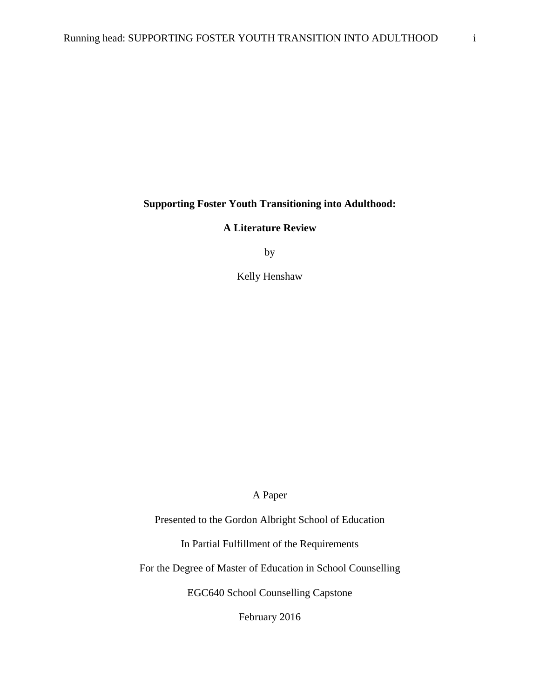**Supporting Foster Youth Transitioning into Adulthood:** 

**A Literature Review** 

by

Kelly Henshaw

A Paper

Presented to the Gordon Albright School of Education

In Partial Fulfillment of the Requirements

For the Degree of Master of Education in School Counselling

EGC640 School Counselling Capstone

February 2016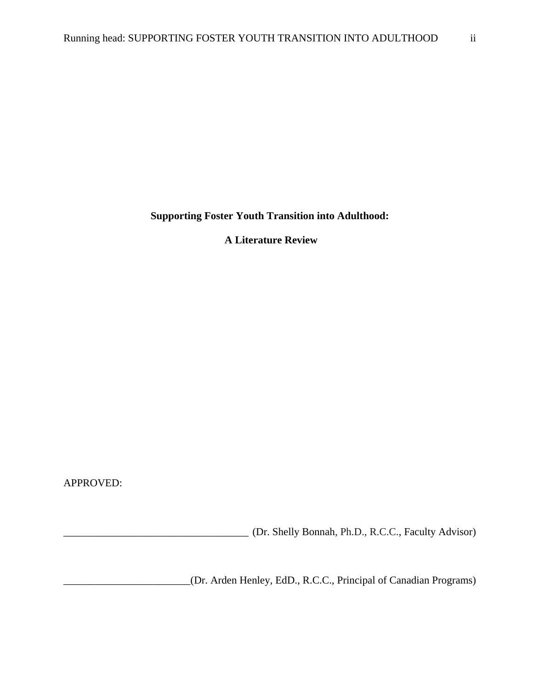**Supporting Foster Youth Transition into Adulthood:** 

 **A Literature Review**

APPROVED:

\_\_\_\_\_\_\_\_\_\_\_\_\_\_\_\_\_\_\_\_\_\_\_\_\_\_\_\_\_\_\_\_\_\_\_ (Dr. Shelly Bonnah, Ph.D., R.C.C., Faculty Advisor)

\_\_\_\_\_\_\_\_\_\_\_\_\_\_\_\_\_\_\_\_\_\_\_\_ (Dr. Arden Henley, EdD., R.C.C., Principal of Canadian Programs)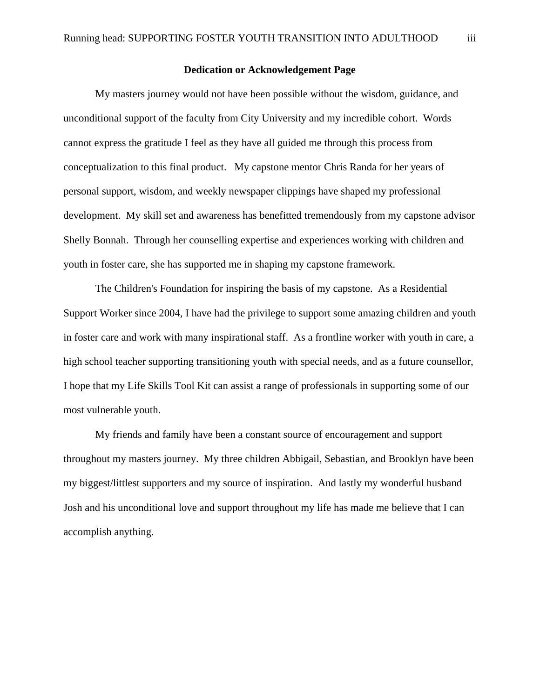#### **Dedication or Acknowledgement Page**

 My masters journey would not have been possible without the wisdom, guidance, and unconditional support of the faculty from City University and my incredible cohort. Words cannot express the gratitude I feel as they have all guided me through this process from conceptualization to this final product. My capstone mentor Chris Randa for her years of personal support, wisdom, and weekly newspaper clippings have shaped my professional development. My skill set and awareness has benefitted tremendously from my capstone advisor Shelly Bonnah. Through her counselling expertise and experiences working with children and youth in foster care, she has supported me in shaping my capstone framework.

 The Children's Foundation for inspiring the basis of my capstone. As a Residential Support Worker since 2004, I have had the privilege to support some amazing children and youth in foster care and work with many inspirational staff. As a frontline worker with youth in care, a high school teacher supporting transitioning youth with special needs, and as a future counsellor, I hope that my Life Skills Tool Kit can assist a range of professionals in supporting some of our most vulnerable youth.

 My friends and family have been a constant source of encouragement and support throughout my masters journey. My three children Abbigail, Sebastian, and Brooklyn have been my biggest/littlest supporters and my source of inspiration. And lastly my wonderful husband Josh and his unconditional love and support throughout my life has made me believe that I can accomplish anything.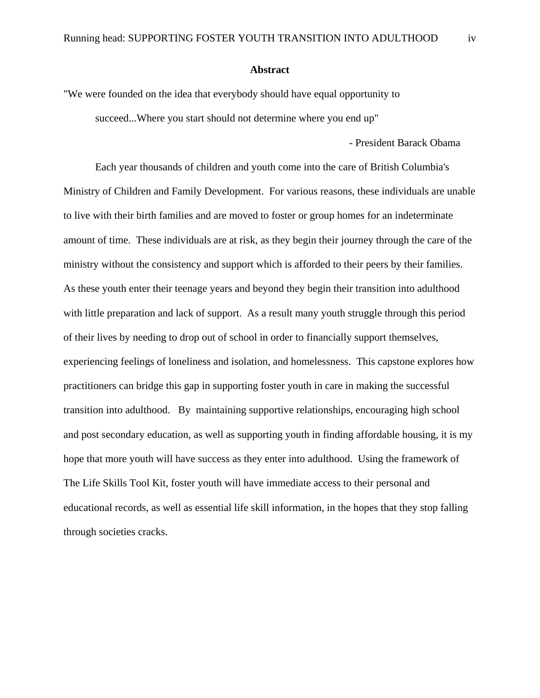#### **Abstract**

"We were founded on the idea that everybody should have equal opportunity to succeed...Where you start should not determine where you end up"

- President Barack Obama

 Each year thousands of children and youth come into the care of British Columbia's Ministry of Children and Family Development. For various reasons, these individuals are unable to live with their birth families and are moved to foster or group homes for an indeterminate amount of time. These individuals are at risk, as they begin their journey through the care of the ministry without the consistency and support which is afforded to their peers by their families. As these youth enter their teenage years and beyond they begin their transition into adulthood with little preparation and lack of support. As a result many youth struggle through this period of their lives by needing to drop out of school in order to financially support themselves, experiencing feelings of loneliness and isolation, and homelessness. This capstone explores how practitioners can bridge this gap in supporting foster youth in care in making the successful transition into adulthood. By maintaining supportive relationships, encouraging high school and post secondary education, as well as supporting youth in finding affordable housing, it is my hope that more youth will have success as they enter into adulthood. Using the framework of The Life Skills Tool Kit, foster youth will have immediate access to their personal and educational records, as well as essential life skill information, in the hopes that they stop falling through societies cracks.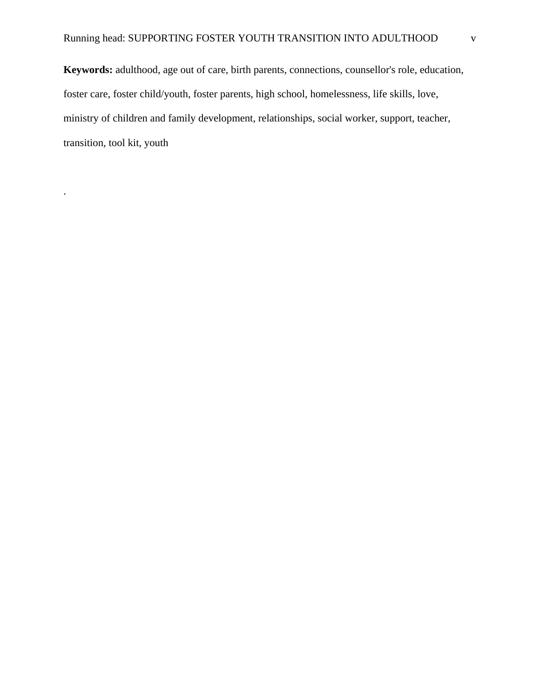**Keywords:** adulthood, age out of care, birth parents, connections, counsellor's role, education, foster care, foster child/youth, foster parents, high school, homelessness, life skills, love, ministry of children and family development, relationships, social worker, support, teacher, transition, tool kit, youth

.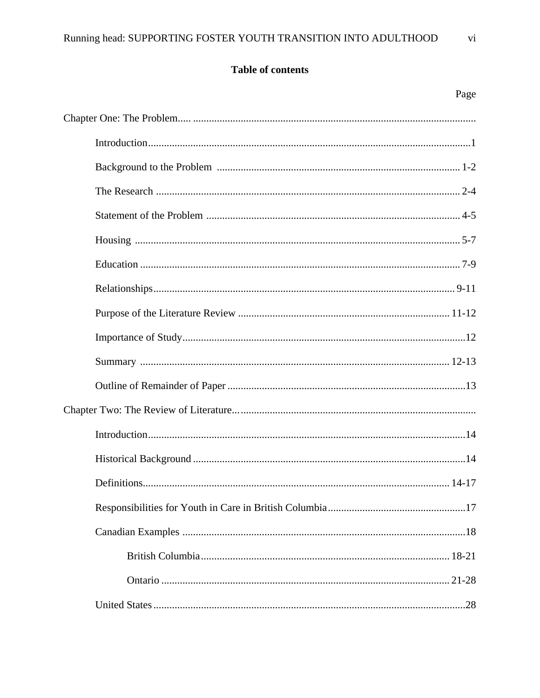# Table of contents

| Page                   |
|------------------------|
|                        |
|                        |
|                        |
|                        |
|                        |
|                        |
|                        |
|                        |
|                        |
|                        |
|                        |
|                        |
|                        |
|                        |
|                        |
| Definitions<br>. 14-17 |
|                        |
|                        |
|                        |
|                        |
|                        |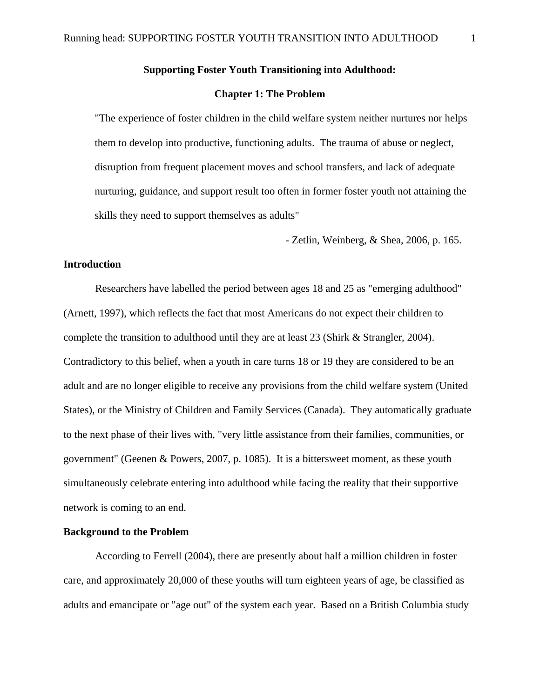# **Supporting Foster Youth Transitioning into Adulthood:**

## **Chapter 1: The Problem**

"The experience of foster children in the child welfare system neither nurtures nor helps them to develop into productive, functioning adults. The trauma of abuse or neglect, disruption from frequent placement moves and school transfers, and lack of adequate nurturing, guidance, and support result too often in former foster youth not attaining the skills they need to support themselves as adults"

- Zetlin, Weinberg, & Shea, 2006, p. 165.

# **Introduction**

 Researchers have labelled the period between ages 18 and 25 as "emerging adulthood" (Arnett, 1997), which reflects the fact that most Americans do not expect their children to complete the transition to adulthood until they are at least 23 (Shirk & Strangler, 2004). Contradictory to this belief, when a youth in care turns 18 or 19 they are considered to be an adult and are no longer eligible to receive any provisions from the child welfare system (United States), or the Ministry of Children and Family Services (Canada). They automatically graduate to the next phase of their lives with, "very little assistance from their families, communities, or government" (Geenen & Powers, 2007, p. 1085). It is a bittersweet moment, as these youth simultaneously celebrate entering into adulthood while facing the reality that their supportive network is coming to an end.

## **Background to the Problem**

 According to Ferrell (2004), there are presently about half a million children in foster care, and approximately 20,000 of these youths will turn eighteen years of age, be classified as adults and emancipate or "age out" of the system each year. Based on a British Columbia study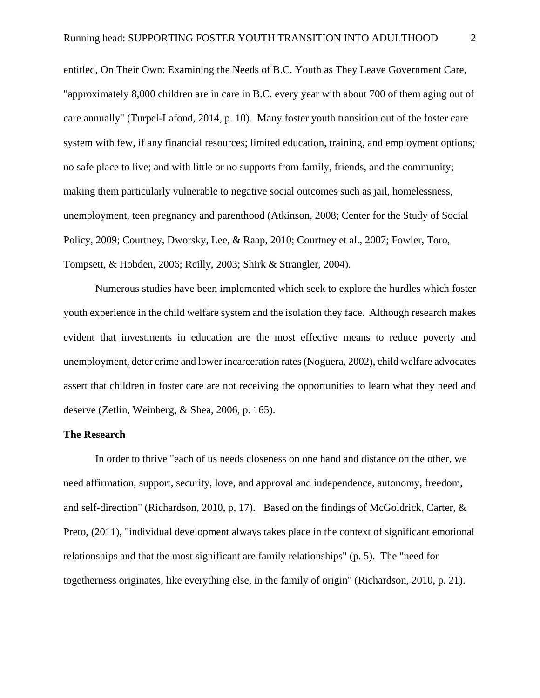entitled, On Their Own: Examining the Needs of B.C. Youth as They Leave Government Care, "approximately 8,000 children are in care in B.C. every year with about 700 of them aging out of care annually" (Turpel-Lafond, 2014, p. 10). Many foster youth transition out of the foster care system with few, if any financial resources; limited education, training, and employment options; no safe place to live; and with little or no supports from family, friends, and the community; making them particularly vulnerable to negative social outcomes such as jail, homelessness, unemployment, teen pregnancy and parenthood (Atkinson, 2008; Center for the Study of Social Policy, 2009; Courtney, Dworsky, Lee, & Raap, 2010; Courtney et al., 2007; Fowler, Toro, Tompsett, & Hobden, 2006; Reilly, 2003; Shirk & Strangler, 2004).

 Numerous studies have been implemented which seek to explore the hurdles which foster youth experience in the child welfare system and the isolation they face. Although research makes evident that investments in education are the most effective means to reduce poverty and unemployment, deter crime and lower incarceration rates (Noguera, 2002), child welfare advocates assert that children in foster care are not receiving the opportunities to learn what they need and deserve (Zetlin, Weinberg, & Shea, 2006, p. 165).

#### **The Research**

 In order to thrive "each of us needs closeness on one hand and distance on the other, we need affirmation, support, security, love, and approval and independence, autonomy, freedom, and self-direction" (Richardson, 2010, p, 17). Based on the findings of McGoldrick, Carter, & Preto, (2011), "individual development always takes place in the context of significant emotional relationships and that the most significant are family relationships" (p. 5). The "need for togetherness originates, like everything else, in the family of origin" (Richardson, 2010, p. 21).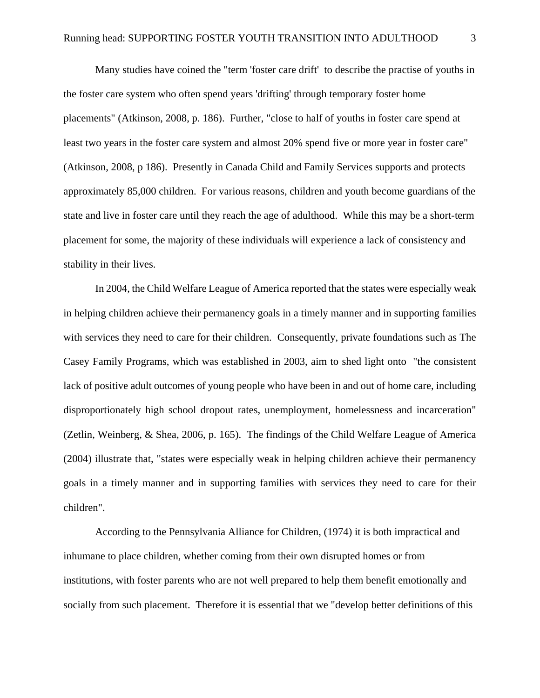Many studies have coined the "term 'foster care drift' to describe the practise of youths in the foster care system who often spend years 'drifting' through temporary foster home placements" (Atkinson, 2008, p. 186). Further, "close to half of youths in foster care spend at least two years in the foster care system and almost 20% spend five or more year in foster care" (Atkinson, 2008, p 186). Presently in Canada Child and Family Services supports and protects approximately 85,000 children. For various reasons, children and youth become guardians of the state and live in foster care until they reach the age of adulthood. While this may be a short-term placement for some, the majority of these individuals will experience a lack of consistency and stability in their lives.

 In 2004, the Child Welfare League of America reported that the states were especially weak in helping children achieve their permanency goals in a timely manner and in supporting families with services they need to care for their children. Consequently, private foundations such as The Casey Family Programs, which was established in 2003, aim to shed light onto "the consistent lack of positive adult outcomes of young people who have been in and out of home care, including disproportionately high school dropout rates, unemployment, homelessness and incarceration" (Zetlin, Weinberg, & Shea, 2006, p. 165). The findings of the Child Welfare League of America (2004) illustrate that, "states were especially weak in helping children achieve their permanency goals in a timely manner and in supporting families with services they need to care for their children".

 According to the Pennsylvania Alliance for Children, (1974) it is both impractical and inhumane to place children, whether coming from their own disrupted homes or from institutions, with foster parents who are not well prepared to help them benefit emotionally and socially from such placement. Therefore it is essential that we "develop better definitions of this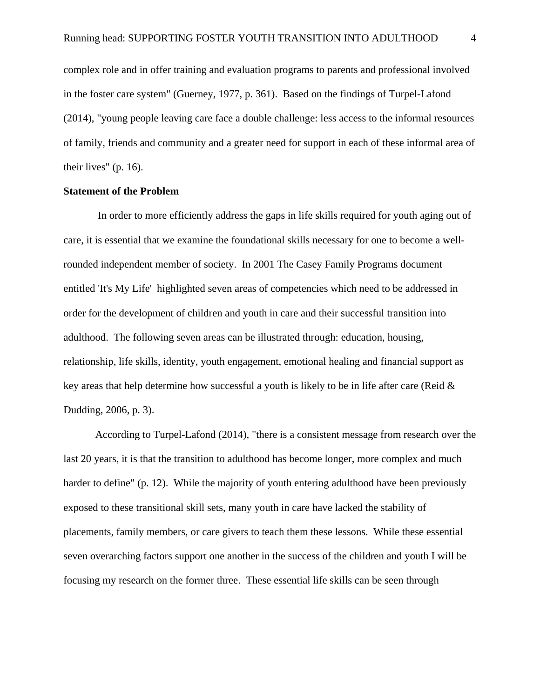complex role and in offer training and evaluation programs to parents and professional involved in the foster care system" (Guerney, 1977, p. 361). Based on the findings of Turpel-Lafond (2014), "young people leaving care face a double challenge: less access to the informal resources of family, friends and community and a greater need for support in each of these informal area of their lives" (p. 16).

# **Statement of the Problem**

 In order to more efficiently address the gaps in life skills required for youth aging out of care, it is essential that we examine the foundational skills necessary for one to become a wellrounded independent member of society. In 2001 The Casey Family Programs document entitled 'It's My Life' highlighted seven areas of competencies which need to be addressed in order for the development of children and youth in care and their successful transition into adulthood. The following seven areas can be illustrated through: education, housing, relationship, life skills, identity, youth engagement, emotional healing and financial support as key areas that help determine how successful a youth is likely to be in life after care (Reid  $\&$ Dudding, 2006, p. 3).

 According to Turpel-Lafond (2014), "there is a consistent message from research over the last 20 years, it is that the transition to adulthood has become longer, more complex and much harder to define" (p. 12). While the majority of youth entering adulthood have been previously exposed to these transitional skill sets, many youth in care have lacked the stability of placements, family members, or care givers to teach them these lessons. While these essential seven overarching factors support one another in the success of the children and youth I will be focusing my research on the former three. These essential life skills can be seen through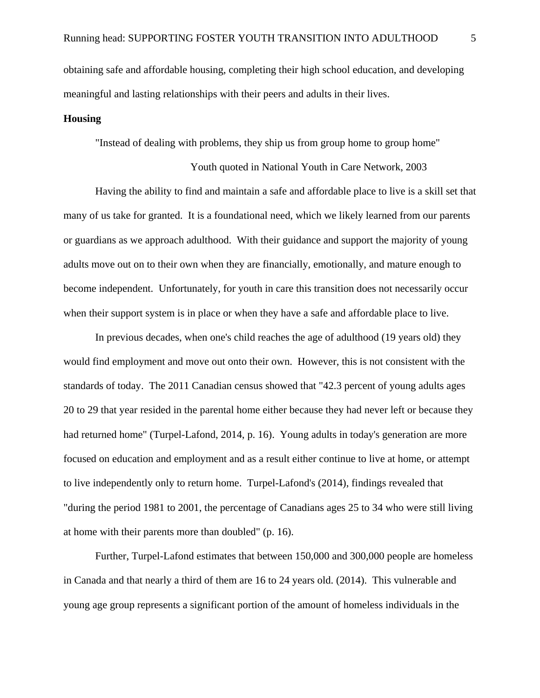obtaining safe and affordable housing, completing their high school education, and developing meaningful and lasting relationships with their peers and adults in their lives.

# **Housing**

"Instead of dealing with problems, they ship us from group home to group home"

 Youth quoted in National Youth in Care Network, 2003 Having the ability to find and maintain a safe and affordable place to live is a skill set that many of us take for granted. It is a foundational need, which we likely learned from our parents or guardians as we approach adulthood. With their guidance and support the majority of young adults move out on to their own when they are financially, emotionally, and mature enough to become independent. Unfortunately, for youth in care this transition does not necessarily occur

when their support system is in place or when they have a safe and affordable place to live.

 In previous decades, when one's child reaches the age of adulthood (19 years old) they would find employment and move out onto their own. However, this is not consistent with the standards of today. The 2011 Canadian census showed that "42.3 percent of young adults ages 20 to 29 that year resided in the parental home either because they had never left or because they had returned home" (Turpel-Lafond, 2014, p. 16). Young adults in today's generation are more focused on education and employment and as a result either continue to live at home, or attempt to live independently only to return home. Turpel-Lafond's (2014), findings revealed that "during the period 1981 to 2001, the percentage of Canadians ages 25 to 34 who were still living at home with their parents more than doubled" (p. 16).

 Further, Turpel-Lafond estimates that between 150,000 and 300,000 people are homeless in Canada and that nearly a third of them are 16 to 24 years old. (2014). This vulnerable and young age group represents a significant portion of the amount of homeless individuals in the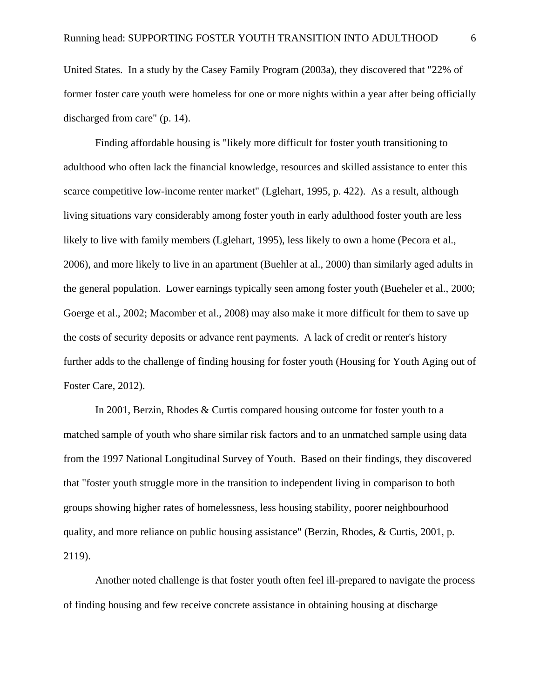United States. In a study by the Casey Family Program (2003a), they discovered that "22% of former foster care youth were homeless for one or more nights within a year after being officially discharged from care" (p. 14).

 Finding affordable housing is "likely more difficult for foster youth transitioning to adulthood who often lack the financial knowledge, resources and skilled assistance to enter this scarce competitive low-income renter market" (Lglehart, 1995, p. 422). As a result, although living situations vary considerably among foster youth in early adulthood foster youth are less likely to live with family members (Lglehart, 1995), less likely to own a home (Pecora et al., 2006), and more likely to live in an apartment (Buehler at al., 2000) than similarly aged adults in the general population. Lower earnings typically seen among foster youth (Bueheler et al., 2000; Goerge et al., 2002; Macomber et al., 2008) may also make it more difficult for them to save up the costs of security deposits or advance rent payments. A lack of credit or renter's history further adds to the challenge of finding housing for foster youth (Housing for Youth Aging out of Foster Care, 2012).

 In 2001, Berzin, Rhodes & Curtis compared housing outcome for foster youth to a matched sample of youth who share similar risk factors and to an unmatched sample using data from the 1997 National Longitudinal Survey of Youth. Based on their findings, they discovered that "foster youth struggle more in the transition to independent living in comparison to both groups showing higher rates of homelessness, less housing stability, poorer neighbourhood quality, and more reliance on public housing assistance" (Berzin, Rhodes, & Curtis, 2001, p. 2119).

 Another noted challenge is that foster youth often feel ill-prepared to navigate the process of finding housing and few receive concrete assistance in obtaining housing at discharge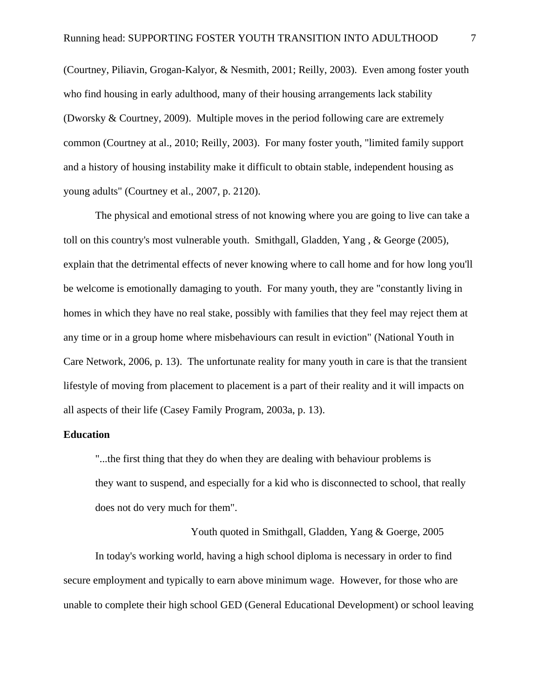(Courtney, Piliavin, Grogan-Kalyor, & Nesmith, 2001; Reilly, 2003). Even among foster youth who find housing in early adulthood, many of their housing arrangements lack stability (Dworsky & Courtney, 2009). Multiple moves in the period following care are extremely common (Courtney at al., 2010; Reilly, 2003). For many foster youth, "limited family support and a history of housing instability make it difficult to obtain stable, independent housing as young adults" (Courtney et al., 2007, p. 2120).

 The physical and emotional stress of not knowing where you are going to live can take a toll on this country's most vulnerable youth. Smithgall, Gladden, Yang , & George (2005), explain that the detrimental effects of never knowing where to call home and for how long you'll be welcome is emotionally damaging to youth. For many youth, they are "constantly living in homes in which they have no real stake, possibly with families that they feel may reject them at any time or in a group home where misbehaviours can result in eviction" (National Youth in Care Network, 2006, p. 13). The unfortunate reality for many youth in care is that the transient lifestyle of moving from placement to placement is a part of their reality and it will impacts on all aspects of their life (Casey Family Program, 2003a, p. 13).

## **Education**

 "...the first thing that they do when they are dealing with behaviour problems is they want to suspend, and especially for a kid who is disconnected to school, that really does not do very much for them".

 Youth quoted in Smithgall, Gladden, Yang & Goerge, 2005 In today's working world, having a high school diploma is necessary in order to find secure employment and typically to earn above minimum wage. However, for those who are unable to complete their high school GED (General Educational Development) or school leaving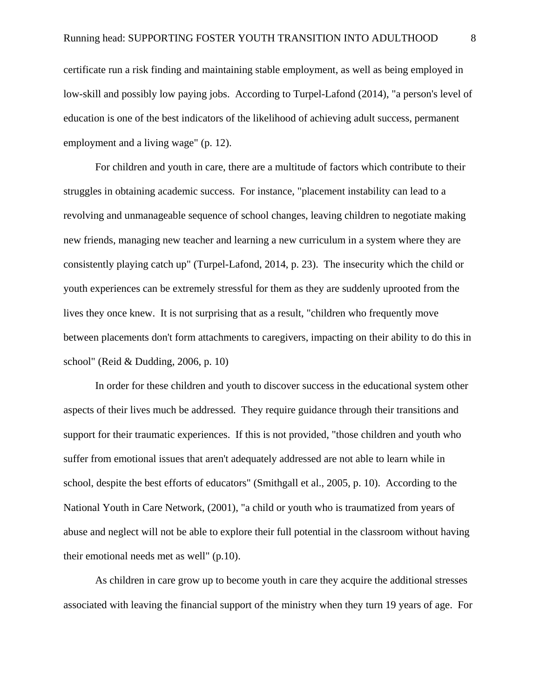certificate run a risk finding and maintaining stable employment, as well as being employed in low-skill and possibly low paying jobs. According to Turpel-Lafond (2014), "a person's level of education is one of the best indicators of the likelihood of achieving adult success, permanent employment and a living wage" (p. 12).

 For children and youth in care, there are a multitude of factors which contribute to their struggles in obtaining academic success. For instance, "placement instability can lead to a revolving and unmanageable sequence of school changes, leaving children to negotiate making new friends, managing new teacher and learning a new curriculum in a system where they are consistently playing catch up" (Turpel-Lafond, 2014, p. 23). The insecurity which the child or youth experiences can be extremely stressful for them as they are suddenly uprooted from the lives they once knew. It is not surprising that as a result, "children who frequently move between placements don't form attachments to caregivers, impacting on their ability to do this in school" (Reid & Dudding, 2006, p. 10)

 In order for these children and youth to discover success in the educational system other aspects of their lives much be addressed. They require guidance through their transitions and support for their traumatic experiences. If this is not provided, "those children and youth who suffer from emotional issues that aren't adequately addressed are not able to learn while in school, despite the best efforts of educators" (Smithgall et al., 2005, p. 10). According to the National Youth in Care Network, (2001), "a child or youth who is traumatized from years of abuse and neglect will not be able to explore their full potential in the classroom without having their emotional needs met as well" (p.10).

 As children in care grow up to become youth in care they acquire the additional stresses associated with leaving the financial support of the ministry when they turn 19 years of age. For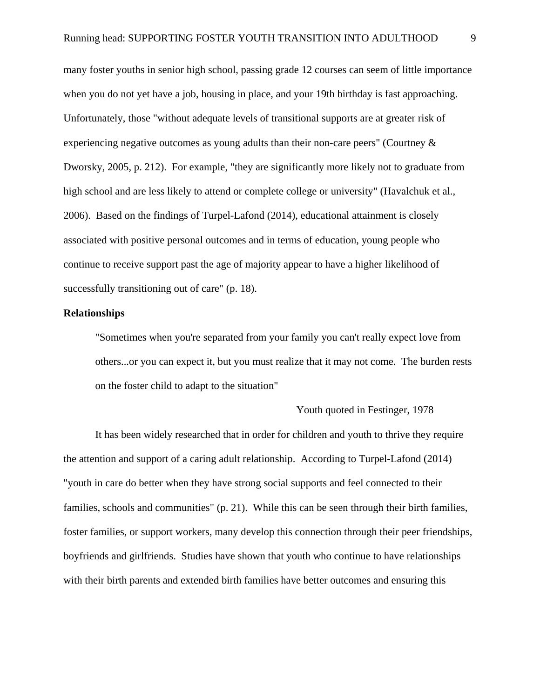many foster youths in senior high school, passing grade 12 courses can seem of little importance when you do not yet have a job, housing in place, and your 19th birthday is fast approaching. Unfortunately, those "without adequate levels of transitional supports are at greater risk of experiencing negative outcomes as young adults than their non-care peers" (Courtney & Dworsky, 2005, p. 212). For example, "they are significantly more likely not to graduate from high school and are less likely to attend or complete college or university" (Havalchuk et al., 2006). Based on the findings of Turpel-Lafond (2014), educational attainment is closely associated with positive personal outcomes and in terms of education, young people who continue to receive support past the age of majority appear to have a higher likelihood of successfully transitioning out of care" (p. 18).

## **Relationships**

 "Sometimes when you're separated from your family you can't really expect love from others...or you can expect it, but you must realize that it may not come. The burden rests on the foster child to adapt to the situation"

#### Youth quoted in Festinger, 1978

 It has been widely researched that in order for children and youth to thrive they require the attention and support of a caring adult relationship. According to Turpel-Lafond (2014) "youth in care do better when they have strong social supports and feel connected to their families, schools and communities" (p. 21). While this can be seen through their birth families, foster families, or support workers, many develop this connection through their peer friendships, boyfriends and girlfriends. Studies have shown that youth who continue to have relationships with their birth parents and extended birth families have better outcomes and ensuring this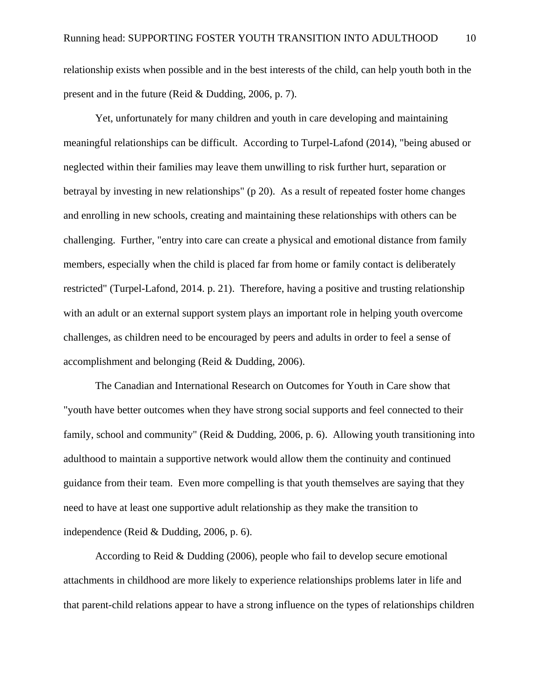relationship exists when possible and in the best interests of the child, can help youth both in the present and in the future (Reid & Dudding, 2006, p. 7).

 Yet, unfortunately for many children and youth in care developing and maintaining meaningful relationships can be difficult. According to Turpel-Lafond (2014), "being abused or neglected within their families may leave them unwilling to risk further hurt, separation or betrayal by investing in new relationships" (p 20). As a result of repeated foster home changes and enrolling in new schools, creating and maintaining these relationships with others can be challenging. Further, "entry into care can create a physical and emotional distance from family members, especially when the child is placed far from home or family contact is deliberately restricted" (Turpel-Lafond, 2014. p. 21). Therefore, having a positive and trusting relationship with an adult or an external support system plays an important role in helping youth overcome challenges, as children need to be encouraged by peers and adults in order to feel a sense of accomplishment and belonging (Reid & Dudding, 2006).

 The Canadian and International Research on Outcomes for Youth in Care show that "youth have better outcomes when they have strong social supports and feel connected to their family, school and community" (Reid & Dudding, 2006, p. 6). Allowing youth transitioning into adulthood to maintain a supportive network would allow them the continuity and continued guidance from their team. Even more compelling is that youth themselves are saying that they need to have at least one supportive adult relationship as they make the transition to independence (Reid & Dudding, 2006, p. 6).

 According to Reid & Dudding (2006), people who fail to develop secure emotional attachments in childhood are more likely to experience relationships problems later in life and that parent-child relations appear to have a strong influence on the types of relationships children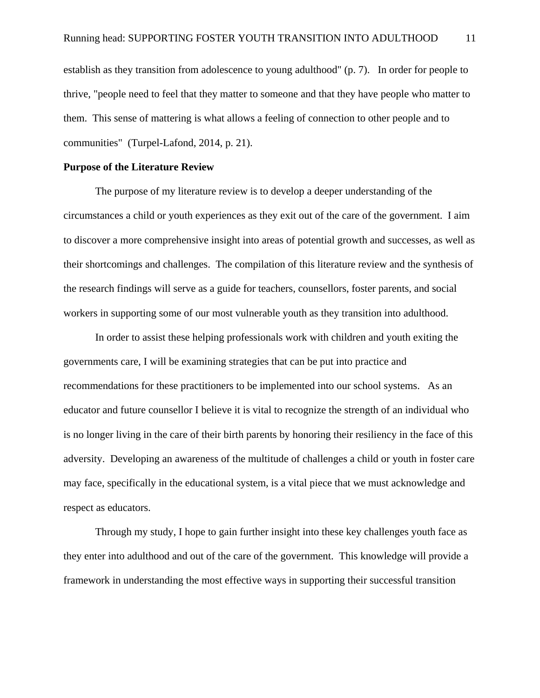establish as they transition from adolescence to young adulthood" (p. 7). In order for people to thrive, "people need to feel that they matter to someone and that they have people who matter to them. This sense of mattering is what allows a feeling of connection to other people and to communities" (Turpel-Lafond, 2014, p. 21).

#### **Purpose of the Literature Review**

The purpose of my literature review is to develop a deeper understanding of the circumstances a child or youth experiences as they exit out of the care of the government. I aim to discover a more comprehensive insight into areas of potential growth and successes, as well as their shortcomings and challenges. The compilation of this literature review and the synthesis of the research findings will serve as a guide for teachers, counsellors, foster parents, and social workers in supporting some of our most vulnerable youth as they transition into adulthood.

In order to assist these helping professionals work with children and youth exiting the governments care, I will be examining strategies that can be put into practice and recommendations for these practitioners to be implemented into our school systems. As an educator and future counsellor I believe it is vital to recognize the strength of an individual who is no longer living in the care of their birth parents by honoring their resiliency in the face of this adversity. Developing an awareness of the multitude of challenges a child or youth in foster care may face, specifically in the educational system, is a vital piece that we must acknowledge and respect as educators.

Through my study, I hope to gain further insight into these key challenges youth face as they enter into adulthood and out of the care of the government. This knowledge will provide a framework in understanding the most effective ways in supporting their successful transition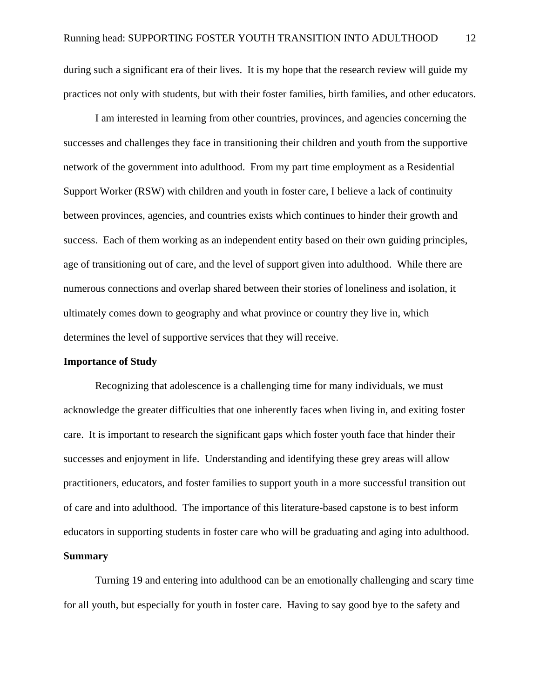during such a significant era of their lives. It is my hope that the research review will guide my practices not only with students, but with their foster families, birth families, and other educators.

I am interested in learning from other countries, provinces, and agencies concerning the successes and challenges they face in transitioning their children and youth from the supportive network of the government into adulthood. From my part time employment as a Residential Support Worker (RSW) with children and youth in foster care, I believe a lack of continuity between provinces, agencies, and countries exists which continues to hinder their growth and success. Each of them working as an independent entity based on their own guiding principles, age of transitioning out of care, and the level of support given into adulthood. While there are numerous connections and overlap shared between their stories of loneliness and isolation, it ultimately comes down to geography and what province or country they live in, which determines the level of supportive services that they will receive.

# **Importance of Study**

 Recognizing that adolescence is a challenging time for many individuals, we must acknowledge the greater difficulties that one inherently faces when living in, and exiting foster care. It is important to research the significant gaps which foster youth face that hinder their successes and enjoyment in life. Understanding and identifying these grey areas will allow practitioners, educators, and foster families to support youth in a more successful transition out of care and into adulthood. The importance of this literature-based capstone is to best inform educators in supporting students in foster care who will be graduating and aging into adulthood. **Summary** 

 Turning 19 and entering into adulthood can be an emotionally challenging and scary time for all youth, but especially for youth in foster care. Having to say good bye to the safety and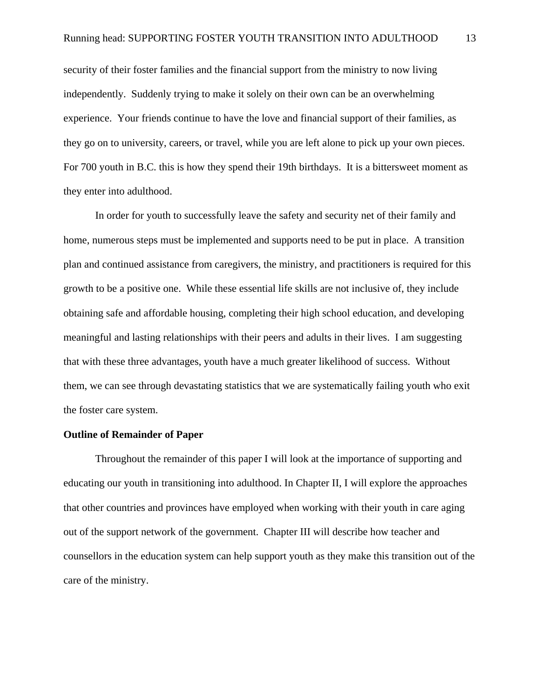security of their foster families and the financial support from the ministry to now living independently. Suddenly trying to make it solely on their own can be an overwhelming experience. Your friends continue to have the love and financial support of their families, as they go on to university, careers, or travel, while you are left alone to pick up your own pieces. For 700 youth in B.C. this is how they spend their 19th birthdays. It is a bittersweet moment as they enter into adulthood.

 In order for youth to successfully leave the safety and security net of their family and home, numerous steps must be implemented and supports need to be put in place. A transition plan and continued assistance from caregivers, the ministry, and practitioners is required for this growth to be a positive one. While these essential life skills are not inclusive of, they include obtaining safe and affordable housing, completing their high school education, and developing meaningful and lasting relationships with their peers and adults in their lives. I am suggesting that with these three advantages, youth have a much greater likelihood of success. Without them, we can see through devastating statistics that we are systematically failing youth who exit the foster care system.

# **Outline of Remainder of Paper**

 Throughout the remainder of this paper I will look at the importance of supporting and educating our youth in transitioning into adulthood. In Chapter II, I will explore the approaches that other countries and provinces have employed when working with their youth in care aging out of the support network of the government. Chapter III will describe how teacher and counsellors in the education system can help support youth as they make this transition out of the care of the ministry.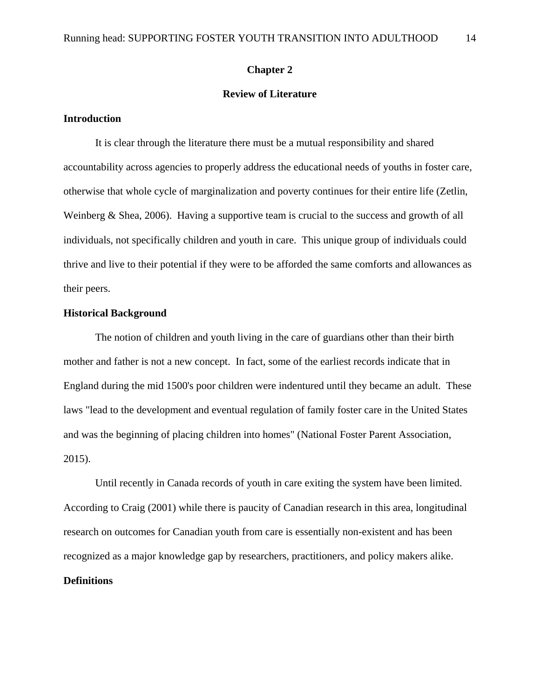## **Chapter 2**

# **Review of Literature**

# **Introduction**

 It is clear through the literature there must be a mutual responsibility and shared accountability across agencies to properly address the educational needs of youths in foster care, otherwise that whole cycle of marginalization and poverty continues for their entire life (Zetlin, Weinberg & Shea, 2006). Having a supportive team is crucial to the success and growth of all individuals, not specifically children and youth in care. This unique group of individuals could thrive and live to their potential if they were to be afforded the same comforts and allowances as their peers.

# **Historical Background**

 The notion of children and youth living in the care of guardians other than their birth mother and father is not a new concept. In fact, some of the earliest records indicate that in England during the mid 1500's poor children were indentured until they became an adult. These laws "lead to the development and eventual regulation of family foster care in the United States and was the beginning of placing children into homes" (National Foster Parent Association, 2015).

 Until recently in Canada records of youth in care exiting the system have been limited. According to Craig (2001) while there is paucity of Canadian research in this area, longitudinal research on outcomes for Canadian youth from care is essentially non-existent and has been recognized as a major knowledge gap by researchers, practitioners, and policy makers alike. **Definitions**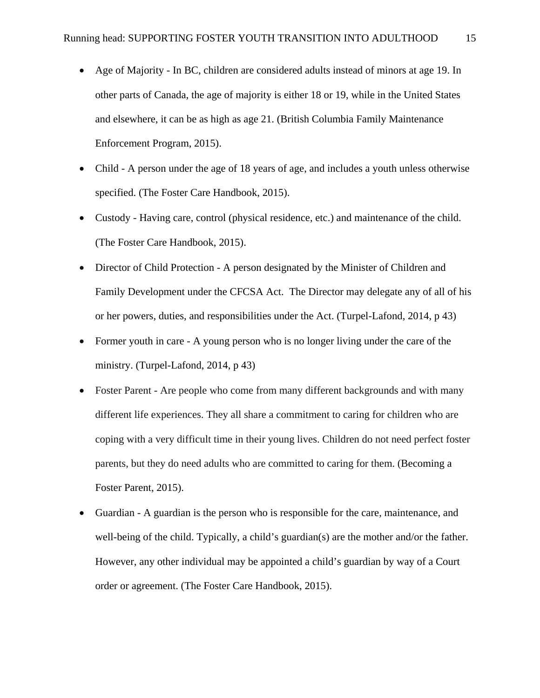- Age of Majority In BC, children are considered adults instead of minors at age 19. In other parts of Canada, the age of majority is either 18 or 19, while in the United States and elsewhere, it can be as high as age 21. (British Columbia Family Maintenance Enforcement Program, 2015).
- Child A person under the age of 18 years of age, and includes a youth unless otherwise specified. (The Foster Care Handbook, 2015).
- Custody Having care, control (physical residence, etc.) and maintenance of the child. (The Foster Care Handbook, 2015).
- Director of Child Protection A person designated by the Minister of Children and Family Development under the CFCSA Act. The Director may delegate any of all of his or her powers, duties, and responsibilities under the Act. (Turpel-Lafond, 2014, p 43)
- Former youth in care A young person who is no longer living under the care of the ministry. (Turpel-Lafond, 2014, p 43)
- Foster Parent Are people who come from many different backgrounds and with many different life experiences. They all share a commitment to caring for children who are coping with a very difficult time in their young lives. Children do not need perfect foster parents, but they do need adults who are committed to caring for them. (Becoming a Foster Parent, 2015).
- Guardian A guardian is the person who is responsible for the care, maintenance, and well-being of the child. Typically, a child's guardian(s) are the mother and/or the father. However, any other individual may be appointed a child's guardian by way of a Court order or agreement. (The Foster Care Handbook, 2015).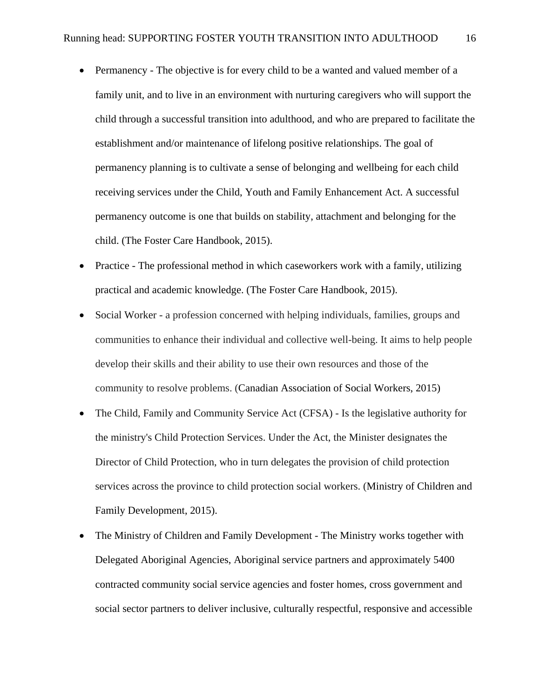- Permanency The objective is for every child to be a wanted and valued member of a family unit, and to live in an environment with nurturing caregivers who will support the child through a successful transition into adulthood, and who are prepared to facilitate the establishment and/or maintenance of lifelong positive relationships. The goal of permanency planning is to cultivate a sense of belonging and wellbeing for each child receiving services under the Child, Youth and Family Enhancement Act. A successful permanency outcome is one that builds on stability, attachment and belonging for the child. (The Foster Care Handbook, 2015).
- Practice The professional method in which caseworkers work with a family, utilizing practical and academic knowledge. (The Foster Care Handbook, 2015).
- Social Worker a profession concerned with helping individuals, families, groups and communities to enhance their individual and collective well-being. It aims to help people develop their skills and their ability to use their own resources and those of the community to resolve problems. (Canadian Association of Social Workers, 2015)
- The Child, Family and Community Service Act (CFSA) Is the legislative authority for the ministry's Child Protection Services. Under the Act, the Minister designates the Director of Child Protection, who in turn delegates the provision of child protection services across the province to child protection social workers. (Ministry of Children and Family Development, 2015).
- The Ministry of Children and Family Development The Ministry works together with Delegated Aboriginal Agencies, Aboriginal service partners and approximately 5400 contracted community social service agencies and foster homes, cross government and social sector partners to deliver inclusive, culturally respectful, responsive and accessible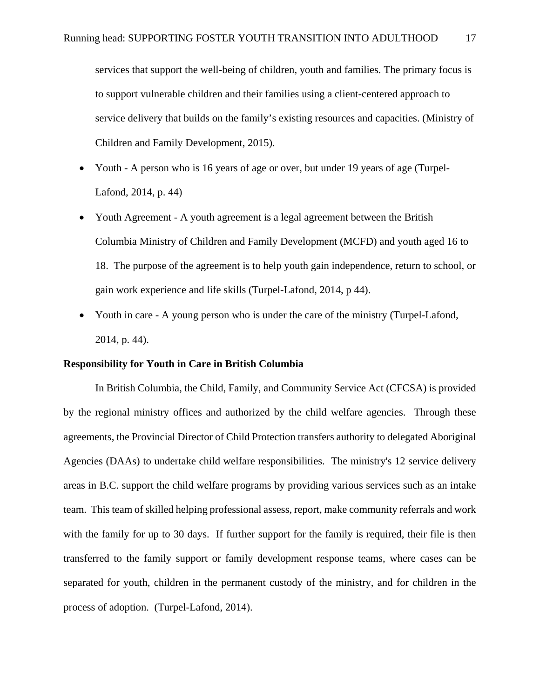services that support the well-being of children, youth and families. The primary focus is to support vulnerable children and their families using a client-centered approach to service delivery that builds on the family's existing resources and capacities. (Ministry of Children and Family Development, 2015).

- Youth A person who is 16 years of age or over, but under 19 years of age (Turpel-Lafond, 2014, p. 44)
- Youth Agreement A youth agreement is a legal agreement between the British Columbia Ministry of Children and Family Development (MCFD) and youth aged 16 to 18. The purpose of the agreement is to help youth gain independence, return to school, or gain work experience and life skills (Turpel-Lafond, 2014, p 44).
- Youth in care A young person who is under the care of the ministry (Turpel-Lafond, 2014, p. 44).

# **Responsibility for Youth in Care in British Columbia**

 In British Columbia, the Child, Family, and Community Service Act (CFCSA) is provided by the regional ministry offices and authorized by the child welfare agencies. Through these agreements, the Provincial Director of Child Protection transfers authority to delegated Aboriginal Agencies (DAAs) to undertake child welfare responsibilities. The ministry's 12 service delivery areas in B.C. support the child welfare programs by providing various services such as an intake team. This team of skilled helping professional assess, report, make community referrals and work with the family for up to 30 days. If further support for the family is required, their file is then transferred to the family support or family development response teams, where cases can be separated for youth, children in the permanent custody of the ministry, and for children in the process of adoption. (Turpel-Lafond, 2014).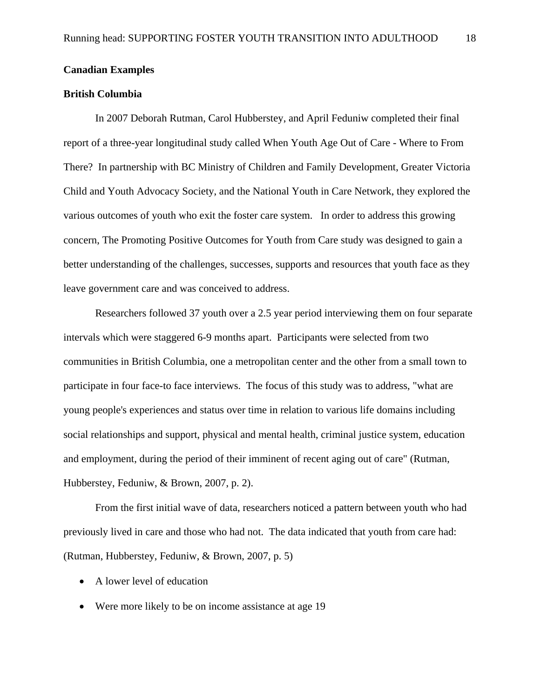#### **Canadian Examples**

# **British Columbia**

In 2007 Deborah Rutman, Carol Hubberstey, and April Feduniw completed their final report of a three-year longitudinal study called When Youth Age Out of Care - Where to From There? In partnership with BC Ministry of Children and Family Development, Greater Victoria Child and Youth Advocacy Society, and the National Youth in Care Network, they explored the various outcomes of youth who exit the foster care system. In order to address this growing concern, The Promoting Positive Outcomes for Youth from Care study was designed to gain a better understanding of the challenges, successes, supports and resources that youth face as they leave government care and was conceived to address.

Researchers followed 37 youth over a 2.5 year period interviewing them on four separate intervals which were staggered 6-9 months apart. Participants were selected from two communities in British Columbia, one a metropolitan center and the other from a small town to participate in four face-to face interviews. The focus of this study was to address, "what are young people's experiences and status over time in relation to various life domains including social relationships and support, physical and mental health, criminal justice system, education and employment, during the period of their imminent of recent aging out of care" (Rutman, Hubberstey, Feduniw, & Brown, 2007, p. 2).

From the first initial wave of data, researchers noticed a pattern between youth who had previously lived in care and those who had not. The data indicated that youth from care had: (Rutman, Hubberstey, Feduniw, & Brown, 2007, p. 5)

- A lower level of education
- Were more likely to be on income assistance at age 19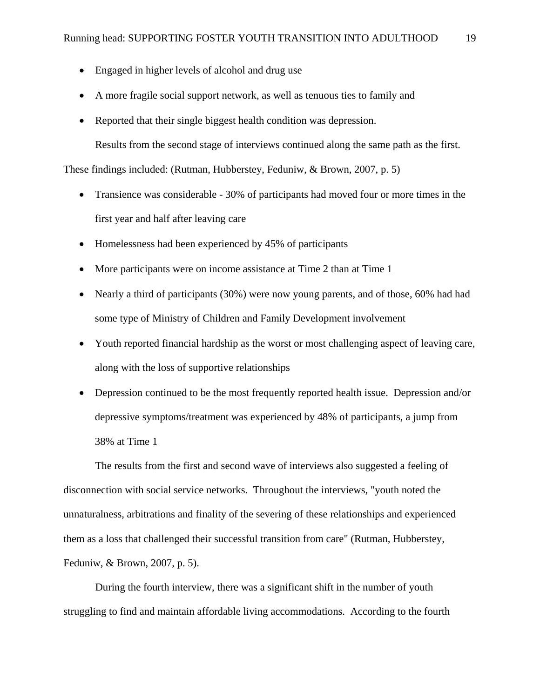- Engaged in higher levels of alcohol and drug use
- A more fragile social support network, as well as tenuous ties to family and
- Reported that their single biggest health condition was depression.

Results from the second stage of interviews continued along the same path as the first.

These findings included: (Rutman, Hubberstey, Feduniw, & Brown, 2007, p. 5)

- Transience was considerable 30% of participants had moved four or more times in the first year and half after leaving care
- $\bullet$  Homelessness had been experienced by 45% of participants
- More participants were on income assistance at Time 2 than at Time 1
- Nearly a third of participants (30%) were now young parents, and of those, 60% had had some type of Ministry of Children and Family Development involvement
- Youth reported financial hardship as the worst or most challenging aspect of leaving care, along with the loss of supportive relationships
- Depression continued to be the most frequently reported health issue. Depression and/or depressive symptoms/treatment was experienced by 48% of participants, a jump from 38% at Time 1

The results from the first and second wave of interviews also suggested a feeling of disconnection with social service networks. Throughout the interviews, "youth noted the unnaturalness, arbitrations and finality of the severing of these relationships and experienced them as a loss that challenged their successful transition from care" (Rutman, Hubberstey, Feduniw, & Brown, 2007, p. 5).

During the fourth interview, there was a significant shift in the number of youth struggling to find and maintain affordable living accommodations. According to the fourth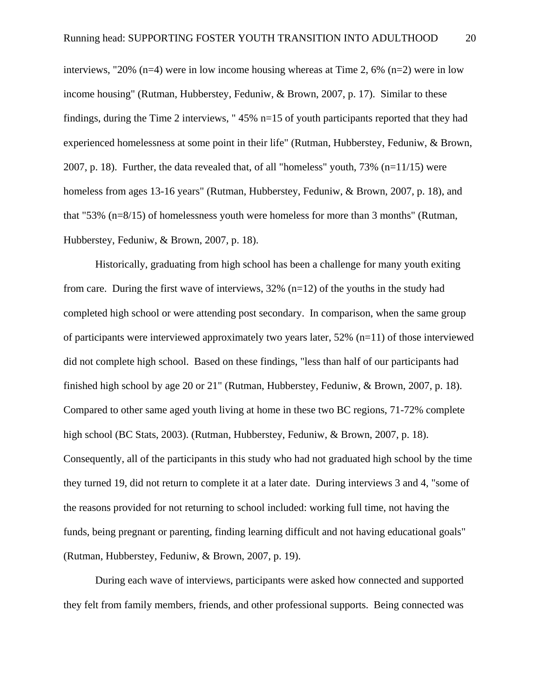interviews, "20% (n=4) were in low income housing whereas at Time 2, 6% (n=2) were in low income housing" (Rutman, Hubberstey, Feduniw, & Brown, 2007, p. 17). Similar to these findings, during the Time 2 interviews, " 45% n=15 of youth participants reported that they had experienced homelessness at some point in their life" (Rutman, Hubberstey, Feduniw, & Brown, 2007, p. 18). Further, the data revealed that, of all "homeless" youth, 73% (n=11/15) were homeless from ages 13-16 years" (Rutman, Hubberstey, Feduniw, & Brown, 2007, p. 18), and that "53% (n=8/15) of homelessness youth were homeless for more than 3 months" (Rutman, Hubberstey, Feduniw, & Brown, 2007, p. 18).

Historically, graduating from high school has been a challenge for many youth exiting from care. During the first wave of interviews,  $32\%$  (n=12) of the youths in the study had completed high school or were attending post secondary. In comparison, when the same group of participants were interviewed approximately two years later, 52% (n=11) of those interviewed did not complete high school. Based on these findings, "less than half of our participants had finished high school by age 20 or 21" (Rutman, Hubberstey, Feduniw, & Brown, 2007, p. 18). Compared to other same aged youth living at home in these two BC regions, 71-72% complete high school (BC Stats, 2003). (Rutman, Hubberstey, Feduniw, & Brown, 2007, p. 18). Consequently, all of the participants in this study who had not graduated high school by the time they turned 19, did not return to complete it at a later date. During interviews 3 and 4, "some of the reasons provided for not returning to school included: working full time, not having the funds, being pregnant or parenting, finding learning difficult and not having educational goals" (Rutman, Hubberstey, Feduniw, & Brown, 2007, p. 19).

During each wave of interviews, participants were asked how connected and supported they felt from family members, friends, and other professional supports. Being connected was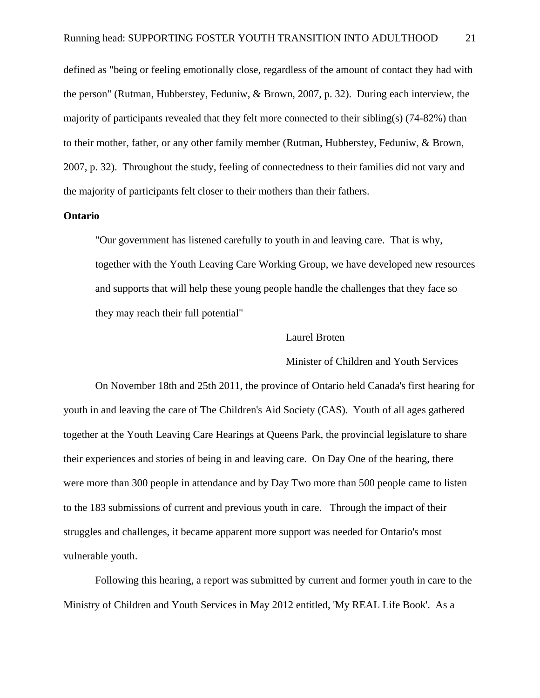defined as "being or feeling emotionally close, regardless of the amount of contact they had with the person" (Rutman, Hubberstey, Feduniw, & Brown, 2007, p. 32). During each interview, the majority of participants revealed that they felt more connected to their sibling(s)  $(74-82%)$  than to their mother, father, or any other family member (Rutman, Hubberstey, Feduniw, & Brown, 2007, p. 32). Throughout the study, feeling of connectedness to their families did not vary and the majority of participants felt closer to their mothers than their fathers.

# **Ontario**

 "Our government has listened carefully to youth in and leaving care. That is why, together with the Youth Leaving Care Working Group, we have developed new resources and supports that will help these young people handle the challenges that they face so they may reach their full potential"

## Laurel Broten

# Minister of Children and Youth Services

On November 18th and 25th 2011, the province of Ontario held Canada's first hearing for youth in and leaving the care of The Children's Aid Society (CAS). Youth of all ages gathered together at the Youth Leaving Care Hearings at Queens Park, the provincial legislature to share their experiences and stories of being in and leaving care. On Day One of the hearing, there were more than 300 people in attendance and by Day Two more than 500 people came to listen to the 183 submissions of current and previous youth in care. Through the impact of their struggles and challenges, it became apparent more support was needed for Ontario's most vulnerable youth.

Following this hearing, a report was submitted by current and former youth in care to the Ministry of Children and Youth Services in May 2012 entitled, 'My REAL Life Book'. As a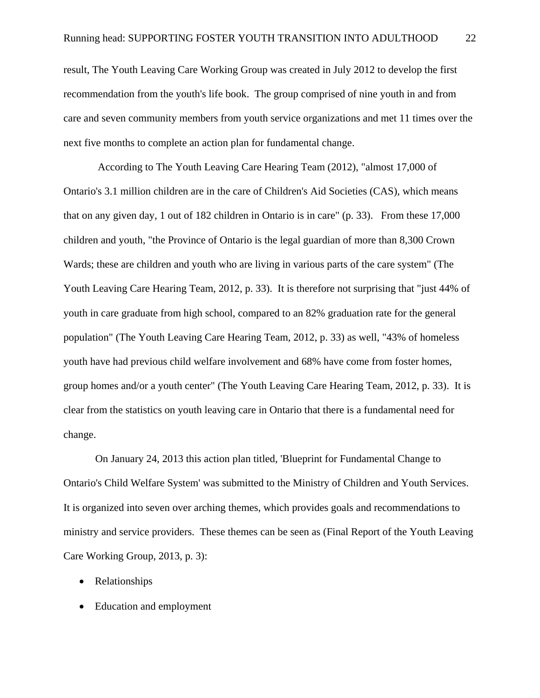result, The Youth Leaving Care Working Group was created in July 2012 to develop the first recommendation from the youth's life book. The group comprised of nine youth in and from care and seven community members from youth service organizations and met 11 times over the next five months to complete an action plan for fundamental change.

 According to The Youth Leaving Care Hearing Team (2012), "almost 17,000 of Ontario's 3.1 million children are in the care of Children's Aid Societies (CAS), which means that on any given day, 1 out of 182 children in Ontario is in care" (p. 33). From these 17,000 children and youth, "the Province of Ontario is the legal guardian of more than 8,300 Crown Wards; these are children and youth who are living in various parts of the care system" (The Youth Leaving Care Hearing Team, 2012, p. 33). It is therefore not surprising that "just 44% of youth in care graduate from high school, compared to an 82% graduation rate for the general population" (The Youth Leaving Care Hearing Team, 2012, p. 33) as well, "43% of homeless youth have had previous child welfare involvement and 68% have come from foster homes, group homes and/or a youth center" (The Youth Leaving Care Hearing Team, 2012, p. 33). It is clear from the statistics on youth leaving care in Ontario that there is a fundamental need for change.

On January 24, 2013 this action plan titled, 'Blueprint for Fundamental Change to Ontario's Child Welfare System' was submitted to the Ministry of Children and Youth Services. It is organized into seven over arching themes, which provides goals and recommendations to ministry and service providers. These themes can be seen as (Final Report of the Youth Leaving Care Working Group, 2013, p. 3):

- Relationships
- Education and employment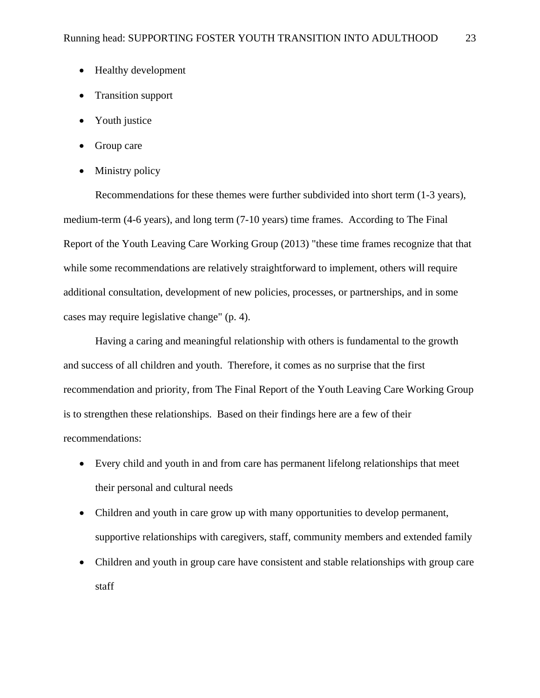- Healthy development
- Transition support
- Youth justice
- Group care
- Ministry policy

Recommendations for these themes were further subdivided into short term (1-3 years), medium-term (4-6 years), and long term (7-10 years) time frames. According to The Final Report of the Youth Leaving Care Working Group (2013) "these time frames recognize that that while some recommendations are relatively straightforward to implement, others will require additional consultation, development of new policies, processes, or partnerships, and in some cases may require legislative change" (p. 4).

Having a caring and meaningful relationship with others is fundamental to the growth and success of all children and youth. Therefore, it comes as no surprise that the first recommendation and priority, from The Final Report of the Youth Leaving Care Working Group is to strengthen these relationships. Based on their findings here are a few of their recommendations:

- Every child and youth in and from care has permanent lifelong relationships that meet their personal and cultural needs
- Children and youth in care grow up with many opportunities to develop permanent, supportive relationships with caregivers, staff, community members and extended family
- Children and youth in group care have consistent and stable relationships with group care staff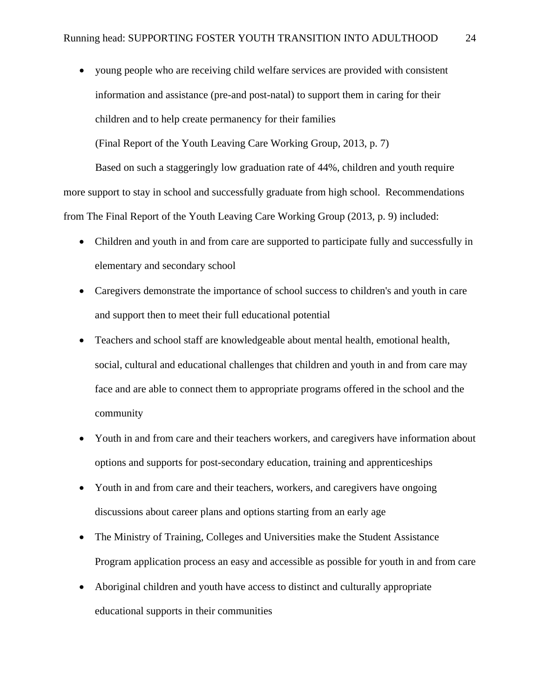young people who are receiving child welfare services are provided with consistent information and assistance (pre-and post-natal) to support them in caring for their children and to help create permanency for their families

(Final Report of the Youth Leaving Care Working Group, 2013, p. 7)

Based on such a staggeringly low graduation rate of 44%, children and youth require more support to stay in school and successfully graduate from high school. Recommendations from The Final Report of the Youth Leaving Care Working Group (2013, p. 9) included:

- Children and youth in and from care are supported to participate fully and successfully in elementary and secondary school
- Caregivers demonstrate the importance of school success to children's and youth in care and support then to meet their full educational potential
- Teachers and school staff are knowledgeable about mental health, emotional health, social, cultural and educational challenges that children and youth in and from care may face and are able to connect them to appropriate programs offered in the school and the community
- Youth in and from care and their teachers workers, and caregivers have information about options and supports for post-secondary education, training and apprenticeships
- Youth in and from care and their teachers, workers, and caregivers have ongoing discussions about career plans and options starting from an early age
- The Ministry of Training, Colleges and Universities make the Student Assistance Program application process an easy and accessible as possible for youth in and from care
- Aboriginal children and youth have access to distinct and culturally appropriate educational supports in their communities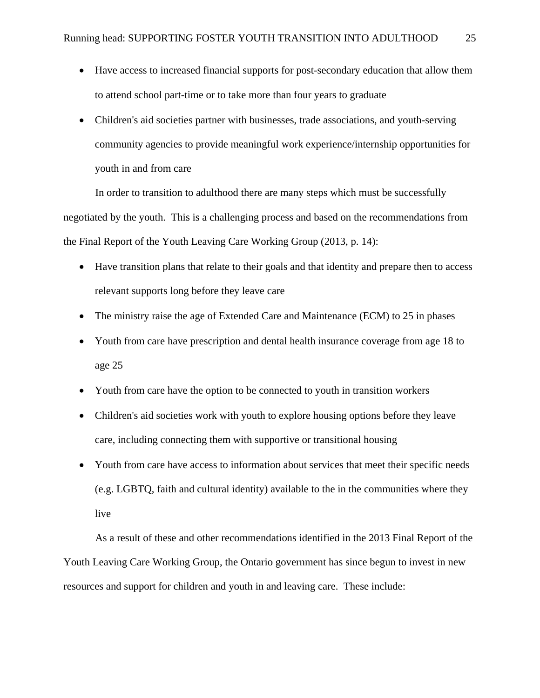- Have access to increased financial supports for post-secondary education that allow them to attend school part-time or to take more than four years to graduate
- Children's aid societies partner with businesses, trade associations, and youth-serving community agencies to provide meaningful work experience/internship opportunities for youth in and from care

In order to transition to adulthood there are many steps which must be successfully negotiated by the youth. This is a challenging process and based on the recommendations from the Final Report of the Youth Leaving Care Working Group (2013, p. 14):

- Have transition plans that relate to their goals and that identity and prepare then to access relevant supports long before they leave care
- The ministry raise the age of Extended Care and Maintenance (ECM) to 25 in phases
- Youth from care have prescription and dental health insurance coverage from age 18 to age 25
- Youth from care have the option to be connected to youth in transition workers
- Children's aid societies work with youth to explore housing options before they leave care, including connecting them with supportive or transitional housing
- Youth from care have access to information about services that meet their specific needs (e.g. LGBTQ, faith and cultural identity) available to the in the communities where they live

As a result of these and other recommendations identified in the 2013 Final Report of the Youth Leaving Care Working Group, the Ontario government has since begun to invest in new resources and support for children and youth in and leaving care. These include: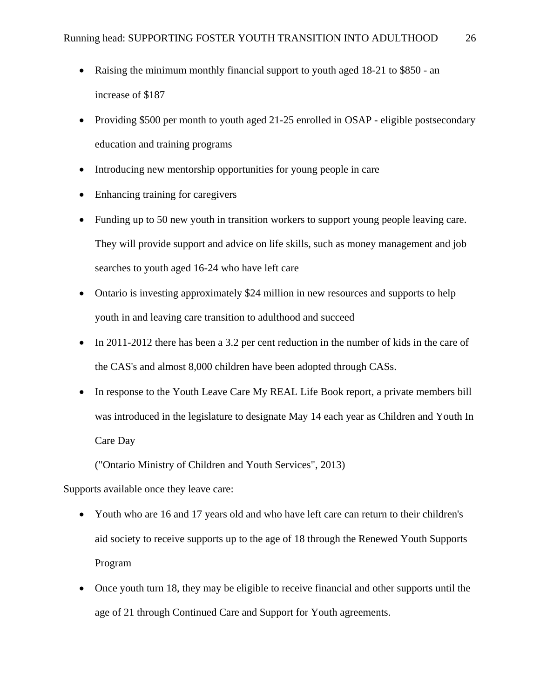- Raising the minimum monthly financial support to youth aged 18-21 to \$850 an increase of \$187
- Providing \$500 per month to youth aged 21-25 enrolled in OSAP eligible postsecondary education and training programs
- Introducing new mentorship opportunities for young people in care
- Enhancing training for caregivers
- Funding up to 50 new youth in transition workers to support young people leaving care. They will provide support and advice on life skills, such as money management and job searches to youth aged 16-24 who have left care
- Ontario is investing approximately \$24 million in new resources and supports to help youth in and leaving care transition to adulthood and succeed
- In 2011-2012 there has been a 3.2 per cent reduction in the number of kids in the care of the CAS's and almost 8,000 children have been adopted through CASs.
- In response to the Youth Leave Care My REAL Life Book report, a private members bill was introduced in the legislature to designate May 14 each year as Children and Youth In Care Day

("Ontario Ministry of Children and Youth Services", 2013)

Supports available once they leave care:

- Youth who are 16 and 17 years old and who have left care can return to their children's aid society to receive supports up to the age of 18 through the Renewed Youth Supports Program
- Once youth turn 18, they may be eligible to receive financial and other supports until the age of 21 through Continued Care and Support for Youth agreements.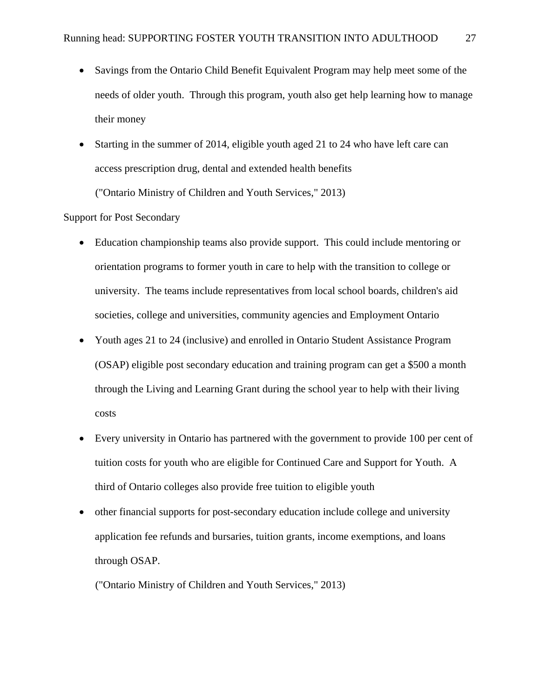- Savings from the Ontario Child Benefit Equivalent Program may help meet some of the needs of older youth. Through this program, youth also get help learning how to manage their money
- Starting in the summer of 2014, eligible youth aged 21 to 24 who have left care can access prescription drug, dental and extended health benefits ("Ontario Ministry of Children and Youth Services," 2013)

## Support for Post Secondary

- Education championship teams also provide support. This could include mentoring or orientation programs to former youth in care to help with the transition to college or university. The teams include representatives from local school boards, children's aid societies, college and universities, community agencies and Employment Ontario
- Youth ages 21 to 24 (inclusive) and enrolled in Ontario Student Assistance Program (OSAP) eligible post secondary education and training program can get a \$500 a month through the Living and Learning Grant during the school year to help with their living costs
- Every university in Ontario has partnered with the government to provide 100 per cent of tuition costs for youth who are eligible for Continued Care and Support for Youth. A third of Ontario colleges also provide free tuition to eligible youth
- other financial supports for post-secondary education include college and university application fee refunds and bursaries, tuition grants, income exemptions, and loans through OSAP.

("Ontario Ministry of Children and Youth Services," 2013)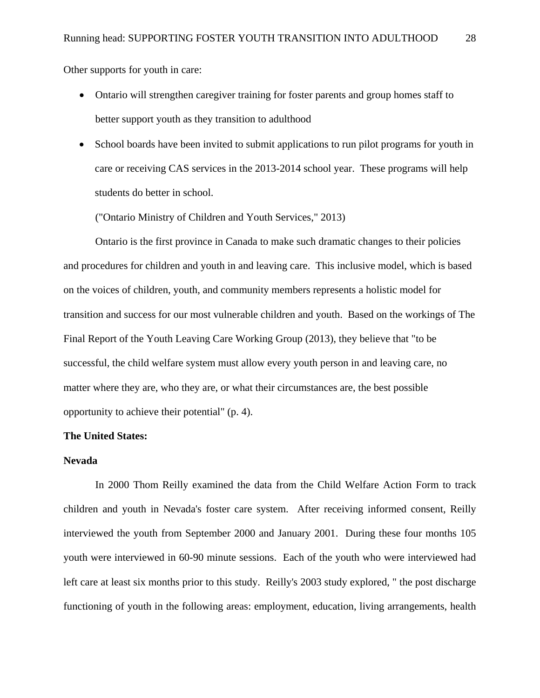Other supports for youth in care:

- Ontario will strengthen caregiver training for foster parents and group homes staff to better support youth as they transition to adulthood
- School boards have been invited to submit applications to run pilot programs for youth in care or receiving CAS services in the 2013-2014 school year. These programs will help students do better in school.

("Ontario Ministry of Children and Youth Services," 2013)

Ontario is the first province in Canada to make such dramatic changes to their policies and procedures for children and youth in and leaving care. This inclusive model, which is based on the voices of children, youth, and community members represents a holistic model for transition and success for our most vulnerable children and youth. Based on the workings of The Final Report of the Youth Leaving Care Working Group (2013), they believe that "to be successful, the child welfare system must allow every youth person in and leaving care, no matter where they are, who they are, or what their circumstances are, the best possible opportunity to achieve their potential" (p. 4).

# **The United States:**

#### **Nevada**

 In 2000 Thom Reilly examined the data from the Child Welfare Action Form to track children and youth in Nevada's foster care system. After receiving informed consent, Reilly interviewed the youth from September 2000 and January 2001. During these four months 105 youth were interviewed in 60-90 minute sessions. Each of the youth who were interviewed had left care at least six months prior to this study. Reilly's 2003 study explored, " the post discharge functioning of youth in the following areas: employment, education, living arrangements, health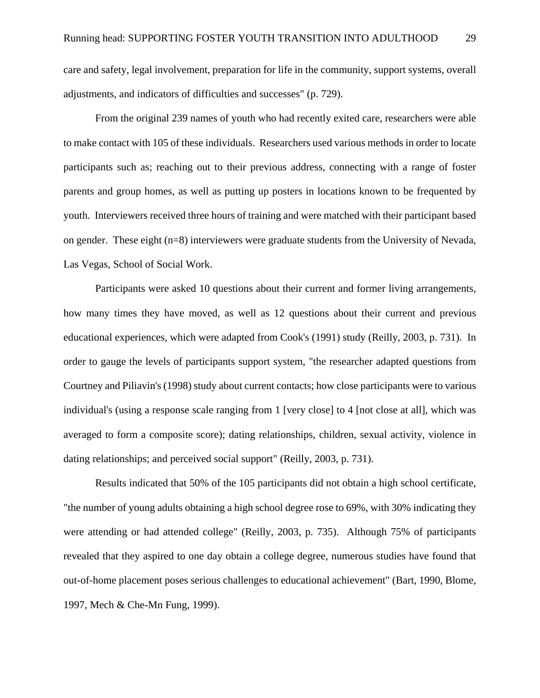care and safety, legal involvement, preparation for life in the community, support systems, overall adjustments, and indicators of difficulties and successes" (p. 729).

From the original 239 names of youth who had recently exited care, researchers were able to make contact with 105 of these individuals. Researchers used various methods in order to locate participants such as; reaching out to their previous address, connecting with a range of foster parents and group homes, as well as putting up posters in locations known to be frequented by youth. Interviewers received three hours of training and were matched with their participant based on gender. These eight (n=8) interviewers were graduate students from the University of Nevada, Las Vegas, School of Social Work.

Participants were asked 10 questions about their current and former living arrangements, how many times they have moved, as well as 12 questions about their current and previous educational experiences, which were adapted from Cook's (1991) study (Reilly, 2003, p. 731). In order to gauge the levels of participants support system, "the researcher adapted questions from Courtney and Piliavin's (1998) study about current contacts; how close participants were to various individual's (using a response scale ranging from 1 [very close] to 4 [not close at all], which was averaged to form a composite score); dating relationships, children, sexual activity, violence in dating relationships; and perceived social support" (Reilly, 2003, p. 731).

Results indicated that 50% of the 105 participants did not obtain a high school certificate, "the number of young adults obtaining a high school degree rose to 69%, with 30% indicating they were attending or had attended college" (Reilly, 2003, p. 735). Although 75% of participants revealed that they aspired to one day obtain a college degree, numerous studies have found that out-of-home placement poses serious challenges to educational achievement" (Bart, 1990, Blome, 1997, Mech & Che-Mn Fung, 1999).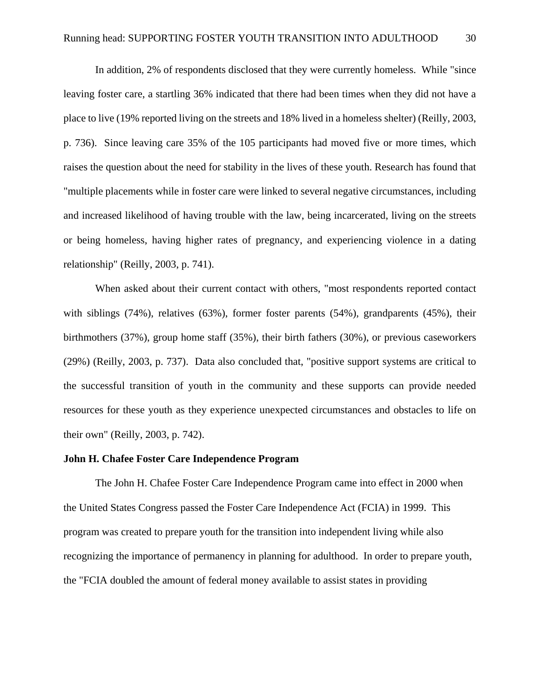In addition, 2% of respondents disclosed that they were currently homeless. While "since leaving foster care, a startling 36% indicated that there had been times when they did not have a place to live (19% reported living on the streets and 18% lived in a homeless shelter) (Reilly, 2003, p. 736). Since leaving care 35% of the 105 participants had moved five or more times, which raises the question about the need for stability in the lives of these youth. Research has found that "multiple placements while in foster care were linked to several negative circumstances, including and increased likelihood of having trouble with the law, being incarcerated, living on the streets or being homeless, having higher rates of pregnancy, and experiencing violence in a dating relationship" (Reilly, 2003, p. 741).

When asked about their current contact with others, "most respondents reported contact with siblings (74%), relatives (63%), former foster parents (54%), grandparents (45%), their birthmothers (37%), group home staff (35%), their birth fathers (30%), or previous caseworkers (29%) (Reilly, 2003, p. 737). Data also concluded that, "positive support systems are critical to the successful transition of youth in the community and these supports can provide needed resources for these youth as they experience unexpected circumstances and obstacles to life on their own" (Reilly, 2003, p. 742).

#### **John H. Chafee Foster Care Independence Program**

The John H. Chafee Foster Care Independence Program came into effect in 2000 when the United States Congress passed the Foster Care Independence Act (FCIA) in 1999. This program was created to prepare youth for the transition into independent living while also recognizing the importance of permanency in planning for adulthood. In order to prepare youth, the "FCIA doubled the amount of federal money available to assist states in providing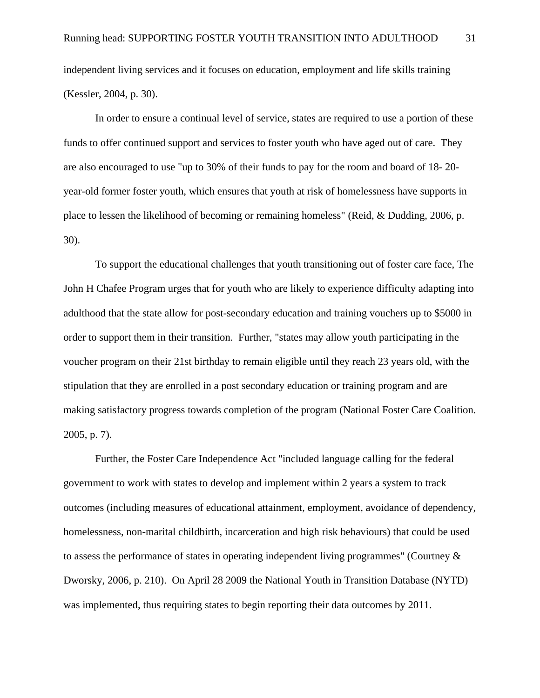independent living services and it focuses on education, employment and life skills training (Kessler, 2004, p. 30).

In order to ensure a continual level of service, states are required to use a portion of these funds to offer continued support and services to foster youth who have aged out of care. They are also encouraged to use "up to 30% of their funds to pay for the room and board of 18- 20 year-old former foster youth, which ensures that youth at risk of homelessness have supports in place to lessen the likelihood of becoming or remaining homeless" (Reid, & Dudding, 2006, p. 30).

To support the educational challenges that youth transitioning out of foster care face, The John H Chafee Program urges that for youth who are likely to experience difficulty adapting into adulthood that the state allow for post-secondary education and training vouchers up to \$5000 in order to support them in their transition. Further, "states may allow youth participating in the voucher program on their 21st birthday to remain eligible until they reach 23 years old, with the stipulation that they are enrolled in a post secondary education or training program and are making satisfactory progress towards completion of the program (National Foster Care Coalition. 2005, p. 7).

Further, the Foster Care Independence Act "included language calling for the federal government to work with states to develop and implement within 2 years a system to track outcomes (including measures of educational attainment, employment, avoidance of dependency, homelessness, non-marital childbirth, incarceration and high risk behaviours) that could be used to assess the performance of states in operating independent living programmes" (Courtney & Dworsky, 2006, p. 210). On April 28 2009 the National Youth in Transition Database (NYTD) was implemented, thus requiring states to begin reporting their data outcomes by 2011.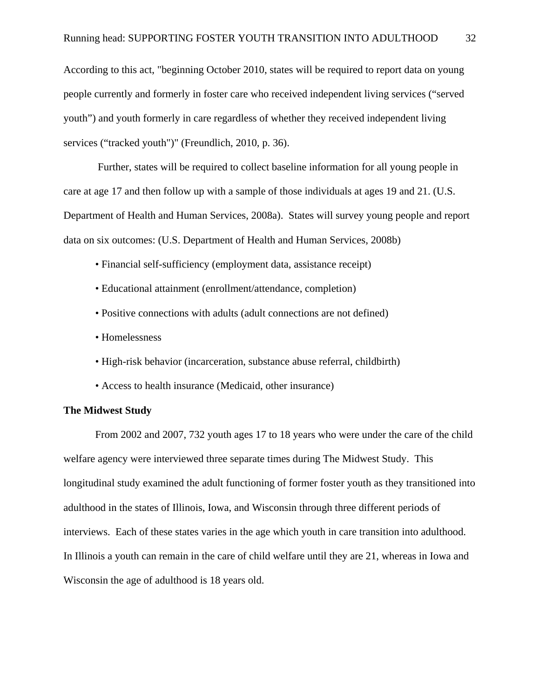According to this act, "beginning October 2010, states will be required to report data on young people currently and formerly in foster care who received independent living services ("served youth") and youth formerly in care regardless of whether they received independent living services ("tracked youth")" (Freundlich, 2010, p. 36).

 Further, states will be required to collect baseline information for all young people in care at age 17 and then follow up with a sample of those individuals at ages 19 and 21. (U.S. Department of Health and Human Services, 2008a). States will survey young people and report data on six outcomes: (U.S. Department of Health and Human Services, 2008b)

- Financial self-sufficiency (employment data, assistance receipt)
- Educational attainment (enrollment/attendance, completion)
- Positive connections with adults (adult connections are not defined)
- Homelessness
- High-risk behavior (incarceration, substance abuse referral, childbirth)
- Access to health insurance (Medicaid, other insurance)

#### **The Midwest Study**

 From 2002 and 2007, 732 youth ages 17 to 18 years who were under the care of the child welfare agency were interviewed three separate times during The Midwest Study. This longitudinal study examined the adult functioning of former foster youth as they transitioned into adulthood in the states of Illinois, Iowa, and Wisconsin through three different periods of interviews. Each of these states varies in the age which youth in care transition into adulthood. In Illinois a youth can remain in the care of child welfare until they are 21, whereas in Iowa and Wisconsin the age of adulthood is 18 years old.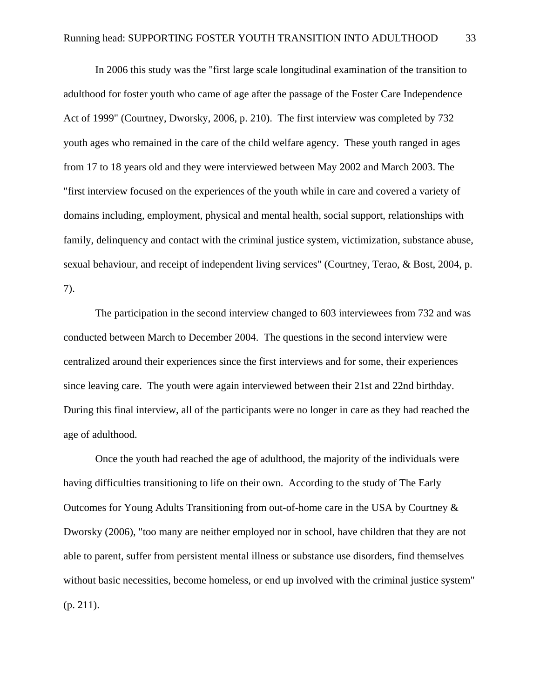In 2006 this study was the "first large scale longitudinal examination of the transition to adulthood for foster youth who came of age after the passage of the Foster Care Independence Act of 1999" (Courtney, Dworsky, 2006, p. 210). The first interview was completed by 732 youth ages who remained in the care of the child welfare agency. These youth ranged in ages from 17 to 18 years old and they were interviewed between May 2002 and March 2003. The "first interview focused on the experiences of the youth while in care and covered a variety of domains including, employment, physical and mental health, social support, relationships with family, delinquency and contact with the criminal justice system, victimization, substance abuse, sexual behaviour, and receipt of independent living services" (Courtney, Terao, & Bost, 2004, p. 7).

 The participation in the second interview changed to 603 interviewees from 732 and was conducted between March to December 2004. The questions in the second interview were centralized around their experiences since the first interviews and for some, their experiences since leaving care. The youth were again interviewed between their 21st and 22nd birthday. During this final interview, all of the participants were no longer in care as they had reached the age of adulthood.

 Once the youth had reached the age of adulthood, the majority of the individuals were having difficulties transitioning to life on their own. According to the study of The Early Outcomes for Young Adults Transitioning from out-of-home care in the USA by Courtney & Dworsky (2006), "too many are neither employed nor in school, have children that they are not able to parent, suffer from persistent mental illness or substance use disorders, find themselves without basic necessities, become homeless, or end up involved with the criminal justice system" (p. 211).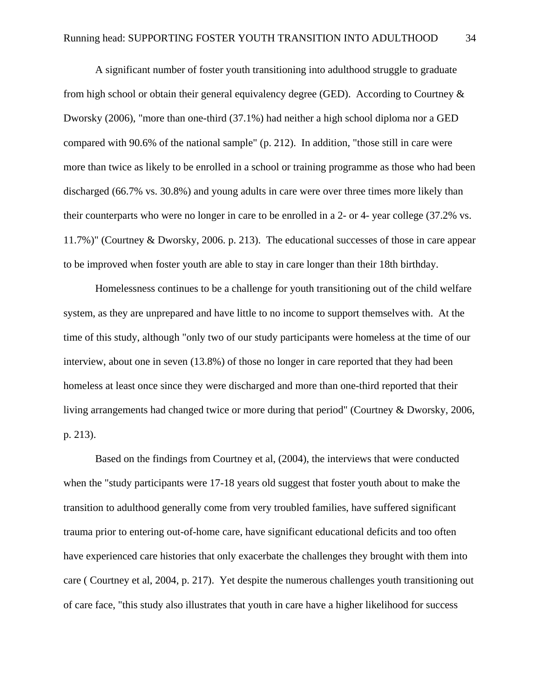A significant number of foster youth transitioning into adulthood struggle to graduate from high school or obtain their general equivalency degree (GED). According to Courtney & Dworsky (2006), "more than one-third (37.1%) had neither a high school diploma nor a GED compared with 90.6% of the national sample" (p. 212). In addition, "those still in care were more than twice as likely to be enrolled in a school or training programme as those who had been discharged (66.7% vs. 30.8%) and young adults in care were over three times more likely than their counterparts who were no longer in care to be enrolled in a 2- or 4- year college (37.2% vs. 11.7%)" (Courtney & Dworsky, 2006. p. 213). The educational successes of those in care appear to be improved when foster youth are able to stay in care longer than their 18th birthday.

 Homelessness continues to be a challenge for youth transitioning out of the child welfare system, as they are unprepared and have little to no income to support themselves with. At the time of this study, although "only two of our study participants were homeless at the time of our interview, about one in seven (13.8%) of those no longer in care reported that they had been homeless at least once since they were discharged and more than one-third reported that their living arrangements had changed twice or more during that period" (Courtney & Dworsky, 2006, p. 213).

 Based on the findings from Courtney et al, (2004), the interviews that were conducted when the "study participants were 17-18 years old suggest that foster youth about to make the transition to adulthood generally come from very troubled families, have suffered significant trauma prior to entering out-of-home care, have significant educational deficits and too often have experienced care histories that only exacerbate the challenges they brought with them into care ( Courtney et al, 2004, p. 217). Yet despite the numerous challenges youth transitioning out of care face, "this study also illustrates that youth in care have a higher likelihood for success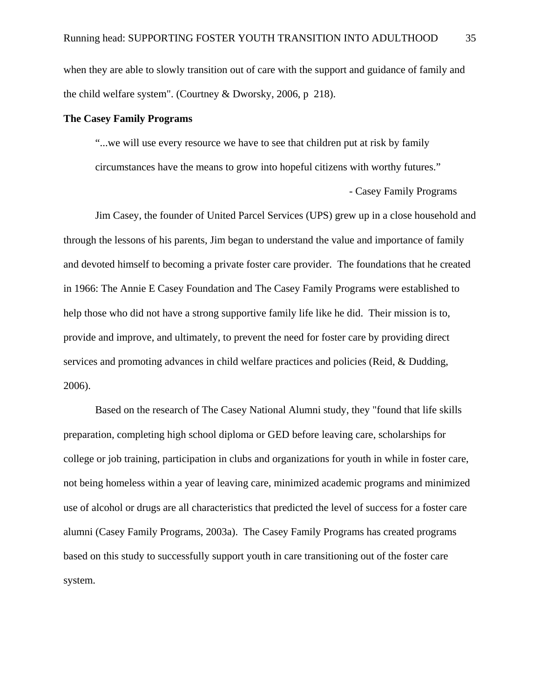when they are able to slowly transition out of care with the support and guidance of family and the child welfare system". (Courtney & Dworsky, 2006, p 218).

## **The Casey Family Programs**

 "...we will use every resource we have to see that children put at risk by family circumstances have the means to grow into hopeful citizens with worthy futures."

- Casey Family Programs

 Jim Casey, the founder of United Parcel Services (UPS) grew up in a close household and through the lessons of his parents, Jim began to understand the value and importance of family and devoted himself to becoming a private foster care provider. The foundations that he created in 1966: The Annie E Casey Foundation and The Casey Family Programs were established to help those who did not have a strong supportive family life like he did. Their mission is to, provide and improve, and ultimately, to prevent the need for foster care by providing direct services and promoting advances in child welfare practices and policies (Reid, & Dudding, 2006).

Based on the research of The Casey National Alumni study, they "found that life skills preparation, completing high school diploma or GED before leaving care, scholarships for college or job training, participation in clubs and organizations for youth in while in foster care, not being homeless within a year of leaving care, minimized academic programs and minimized use of alcohol or drugs are all characteristics that predicted the level of success for a foster care alumni (Casey Family Programs, 2003a). The Casey Family Programs has created programs based on this study to successfully support youth in care transitioning out of the foster care system.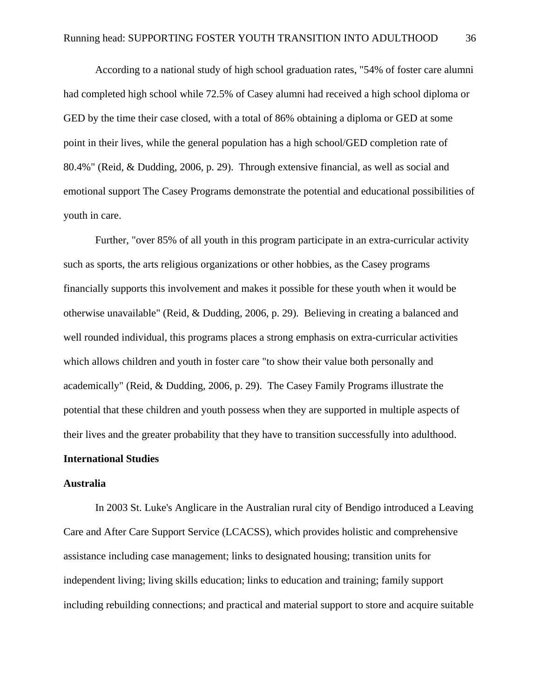According to a national study of high school graduation rates, "54% of foster care alumni had completed high school while 72.5% of Casey alumni had received a high school diploma or GED by the time their case closed, with a total of 86% obtaining a diploma or GED at some point in their lives, while the general population has a high school/GED completion rate of 80.4%" (Reid, & Dudding, 2006, p. 29). Through extensive financial, as well as social and emotional support The Casey Programs demonstrate the potential and educational possibilities of youth in care.

Further, "over 85% of all youth in this program participate in an extra-curricular activity such as sports, the arts religious organizations or other hobbies, as the Casey programs financially supports this involvement and makes it possible for these youth when it would be otherwise unavailable" (Reid, & Dudding, 2006, p. 29). Believing in creating a balanced and well rounded individual, this programs places a strong emphasis on extra-curricular activities which allows children and youth in foster care "to show their value both personally and academically" (Reid, & Dudding, 2006, p. 29). The Casey Family Programs illustrate the potential that these children and youth possess when they are supported in multiple aspects of their lives and the greater probability that they have to transition successfully into adulthood.

# **International Studies**

#### **Australia**

 In 2003 St. Luke's Anglicare in the Australian rural city of Bendigo introduced a Leaving Care and After Care Support Service (LCACSS), which provides holistic and comprehensive assistance including case management; links to designated housing; transition units for independent living; living skills education; links to education and training; family support including rebuilding connections; and practical and material support to store and acquire suitable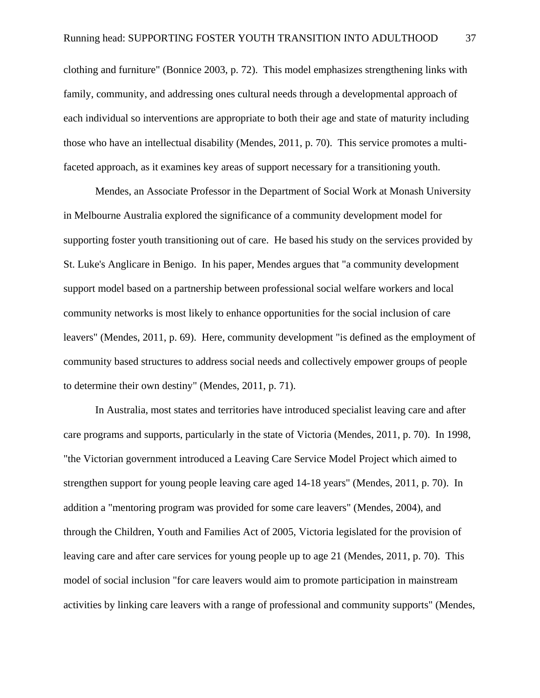clothing and furniture" (Bonnice 2003, p. 72). This model emphasizes strengthening links with family, community, and addressing ones cultural needs through a developmental approach of each individual so interventions are appropriate to both their age and state of maturity including those who have an intellectual disability (Mendes, 2011, p. 70). This service promotes a multifaceted approach, as it examines key areas of support necessary for a transitioning youth.

 Mendes, an Associate Professor in the Department of Social Work at Monash University in Melbourne Australia explored the significance of a community development model for supporting foster youth transitioning out of care. He based his study on the services provided by St. Luke's Anglicare in Benigo. In his paper, Mendes argues that "a community development support model based on a partnership between professional social welfare workers and local community networks is most likely to enhance opportunities for the social inclusion of care leavers" (Mendes, 2011, p. 69). Here, community development "is defined as the employment of community based structures to address social needs and collectively empower groups of people to determine their own destiny" (Mendes, 2011, p. 71).

 In Australia, most states and territories have introduced specialist leaving care and after care programs and supports, particularly in the state of Victoria (Mendes, 2011, p. 70). In 1998, "the Victorian government introduced a Leaving Care Service Model Project which aimed to strengthen support for young people leaving care aged 14-18 years" (Mendes, 2011, p. 70). In addition a "mentoring program was provided for some care leavers" (Mendes, 2004), and through the Children, Youth and Families Act of 2005, Victoria legislated for the provision of leaving care and after care services for young people up to age 21 (Mendes, 2011, p. 70). This model of social inclusion "for care leavers would aim to promote participation in mainstream activities by linking care leavers with a range of professional and community supports" (Mendes,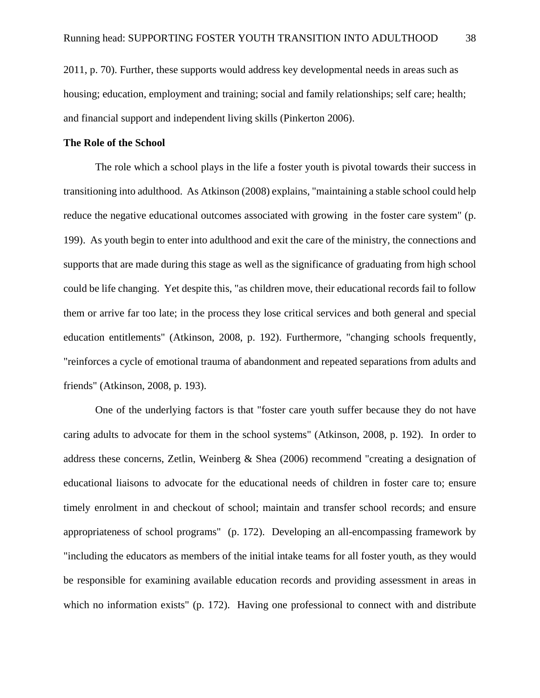2011, p. 70). Further, these supports would address key developmental needs in areas such as housing; education, employment and training; social and family relationships; self care; health; and financial support and independent living skills (Pinkerton 2006).

# **The Role of the School**

The role which a school plays in the life a foster youth is pivotal towards their success in transitioning into adulthood. As Atkinson (2008) explains, "maintaining a stable school could help reduce the negative educational outcomes associated with growing in the foster care system" (p. 199). As youth begin to enter into adulthood and exit the care of the ministry, the connections and supports that are made during this stage as well as the significance of graduating from high school could be life changing. Yet despite this, "as children move, their educational records fail to follow them or arrive far too late; in the process they lose critical services and both general and special education entitlements" (Atkinson, 2008, p. 192). Furthermore, "changing schools frequently, "reinforces a cycle of emotional trauma of abandonment and repeated separations from adults and friends" (Atkinson, 2008, p. 193).

One of the underlying factors is that "foster care youth suffer because they do not have caring adults to advocate for them in the school systems" (Atkinson, 2008, p. 192). In order to address these concerns, Zetlin, Weinberg & Shea (2006) recommend "creating a designation of educational liaisons to advocate for the educational needs of children in foster care to; ensure timely enrolment in and checkout of school; maintain and transfer school records; and ensure appropriateness of school programs" (p. 172). Developing an all-encompassing framework by "including the educators as members of the initial intake teams for all foster youth, as they would be responsible for examining available education records and providing assessment in areas in which no information exists" (p. 172). Having one professional to connect with and distribute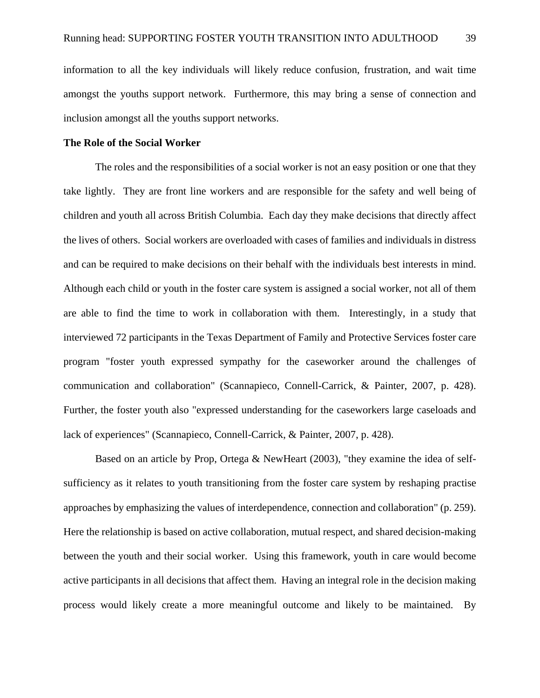information to all the key individuals will likely reduce confusion, frustration, and wait time amongst the youths support network. Furthermore, this may bring a sense of connection and inclusion amongst all the youths support networks.

## **The Role of the Social Worker**

 The roles and the responsibilities of a social worker is not an easy position or one that they take lightly. They are front line workers and are responsible for the safety and well being of children and youth all across British Columbia. Each day they make decisions that directly affect the lives of others. Social workers are overloaded with cases of families and individuals in distress and can be required to make decisions on their behalf with the individuals best interests in mind. Although each child or youth in the foster care system is assigned a social worker, not all of them are able to find the time to work in collaboration with them. Interestingly, in a study that interviewed 72 participants in the Texas Department of Family and Protective Services foster care program "foster youth expressed sympathy for the caseworker around the challenges of communication and collaboration" (Scannapieco, Connell-Carrick, & Painter, 2007, p. 428). Further, the foster youth also "expressed understanding for the caseworkers large caseloads and lack of experiences" (Scannapieco, Connell-Carrick, & Painter, 2007, p. 428).

 Based on an article by Prop, Ortega & NewHeart (2003), "they examine the idea of selfsufficiency as it relates to youth transitioning from the foster care system by reshaping practise approaches by emphasizing the values of interdependence, connection and collaboration" (p. 259). Here the relationship is based on active collaboration, mutual respect, and shared decision-making between the youth and their social worker. Using this framework, youth in care would become active participants in all decisions that affect them. Having an integral role in the decision making process would likely create a more meaningful outcome and likely to be maintained. By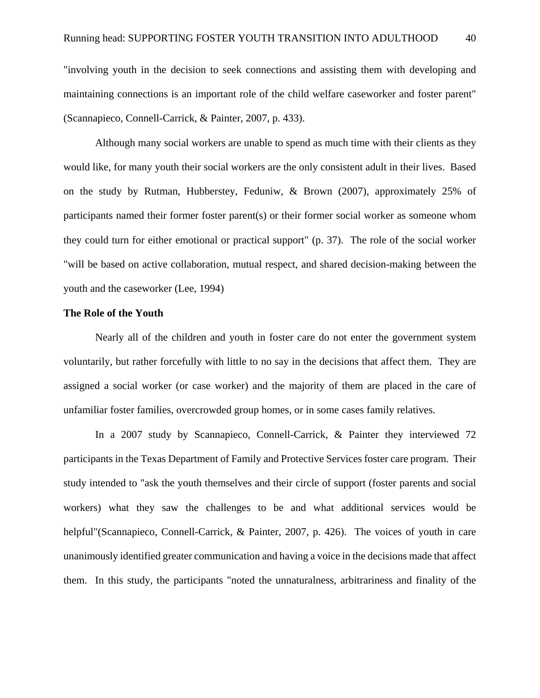"involving youth in the decision to seek connections and assisting them with developing and maintaining connections is an important role of the child welfare caseworker and foster parent" (Scannapieco, Connell-Carrick, & Painter, 2007, p. 433).

 Although many social workers are unable to spend as much time with their clients as they would like, for many youth their social workers are the only consistent adult in their lives. Based on the study by Rutman, Hubberstey, Feduniw, & Brown (2007), approximately 25% of participants named their former foster parent(s) or their former social worker as someone whom they could turn for either emotional or practical support" (p. 37). The role of the social worker "will be based on active collaboration, mutual respect, and shared decision-making between the youth and the caseworker (Lee, 1994)

# **The Role of the Youth**

 Nearly all of the children and youth in foster care do not enter the government system voluntarily, but rather forcefully with little to no say in the decisions that affect them. They are assigned a social worker (or case worker) and the majority of them are placed in the care of unfamiliar foster families, overcrowded group homes, or in some cases family relatives.

 In a 2007 study by Scannapieco, Connell-Carrick, & Painter they interviewed 72 participants in the Texas Department of Family and Protective Services foster care program. Their study intended to "ask the youth themselves and their circle of support (foster parents and social workers) what they saw the challenges to be and what additional services would be helpful"(Scannapieco, Connell-Carrick, & Painter, 2007, p. 426). The voices of youth in care unanimously identified greater communication and having a voice in the decisions made that affect them. In this study, the participants "noted the unnaturalness, arbitrariness and finality of the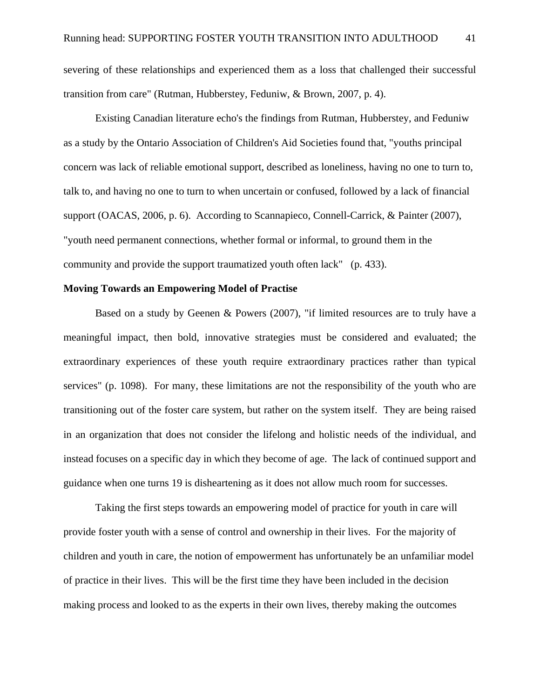severing of these relationships and experienced them as a loss that challenged their successful transition from care" (Rutman, Hubberstey, Feduniw, & Brown, 2007, p. 4).

Existing Canadian literature echo's the findings from Rutman, Hubberstey, and Feduniw as a study by the Ontario Association of Children's Aid Societies found that, "youths principal concern was lack of reliable emotional support, described as loneliness, having no one to turn to, talk to, and having no one to turn to when uncertain or confused, followed by a lack of financial support (OACAS, 2006, p. 6). According to Scannapieco, Connell-Carrick, & Painter (2007), "youth need permanent connections, whether formal or informal, to ground them in the community and provide the support traumatized youth often lack" (p. 433).

# **Moving Towards an Empowering Model of Practise**

 Based on a study by Geenen & Powers (2007), "if limited resources are to truly have a meaningful impact, then bold, innovative strategies must be considered and evaluated; the extraordinary experiences of these youth require extraordinary practices rather than typical services" (p. 1098). For many, these limitations are not the responsibility of the youth who are transitioning out of the foster care system, but rather on the system itself. They are being raised in an organization that does not consider the lifelong and holistic needs of the individual, and instead focuses on a specific day in which they become of age. The lack of continued support and guidance when one turns 19 is disheartening as it does not allow much room for successes.

Taking the first steps towards an empowering model of practice for youth in care will provide foster youth with a sense of control and ownership in their lives. For the majority of children and youth in care, the notion of empowerment has unfortunately be an unfamiliar model of practice in their lives. This will be the first time they have been included in the decision making process and looked to as the experts in their own lives, thereby making the outcomes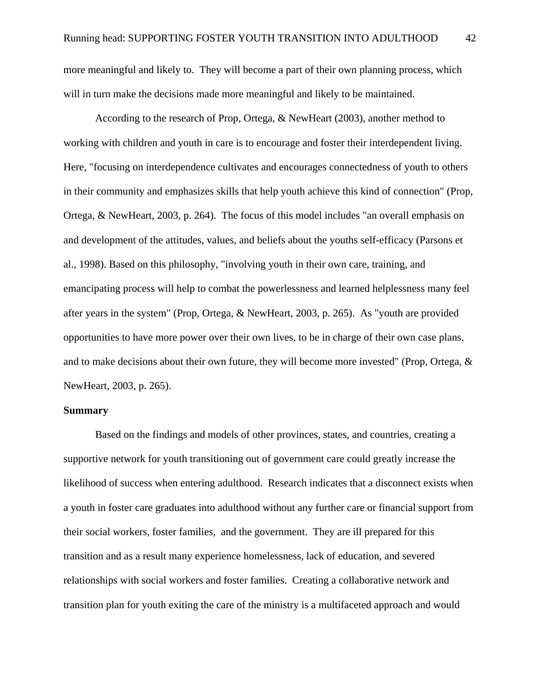more meaningful and likely to. They will become a part of their own planning process, which will in turn make the decisions made more meaningful and likely to be maintained.

 According to the research of Prop, Ortega, & NewHeart (2003), another method to working with children and youth in care is to encourage and foster their interdependent living. Here, "focusing on interdependence cultivates and encourages connectedness of youth to others in their community and emphasizes skills that help youth achieve this kind of connection" (Prop, Ortega, & NewHeart, 2003, p. 264). The focus of this model includes "an overall emphasis on and development of the attitudes, values, and beliefs about the youths self-efficacy (Parsons et al., 1998). Based on this philosophy, "involving youth in their own care, training, and emancipating process will help to combat the powerlessness and learned helplessness many feel after years in the system" (Prop, Ortega, & NewHeart, 2003, p. 265). As "youth are provided opportunities to have more power over their own lives, to be in charge of their own case plans, and to make decisions about their own future, they will become more invested" (Prop, Ortega, & NewHeart, 2003, p. 265).

## **Summary**

 Based on the findings and models of other provinces, states, and countries, creating a supportive network for youth transitioning out of government care could greatly increase the likelihood of success when entering adulthood. Research indicates that a disconnect exists when a youth in foster care graduates into adulthood without any further care or financial support from their social workers, foster families, and the government. They are ill prepared for this transition and as a result many experience homelessness, lack of education, and severed relationships with social workers and foster families. Creating a collaborative network and transition plan for youth exiting the care of the ministry is a multifaceted approach and would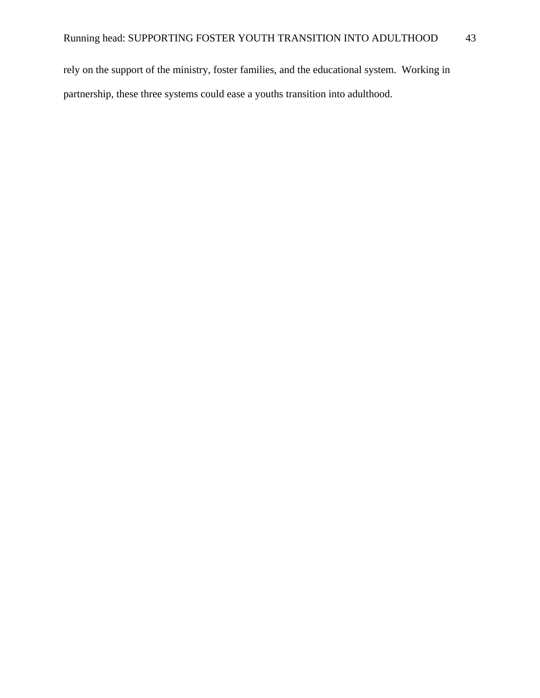rely on the support of the ministry, foster families, and the educational system. Working in partnership, these three systems could ease a youths transition into adulthood.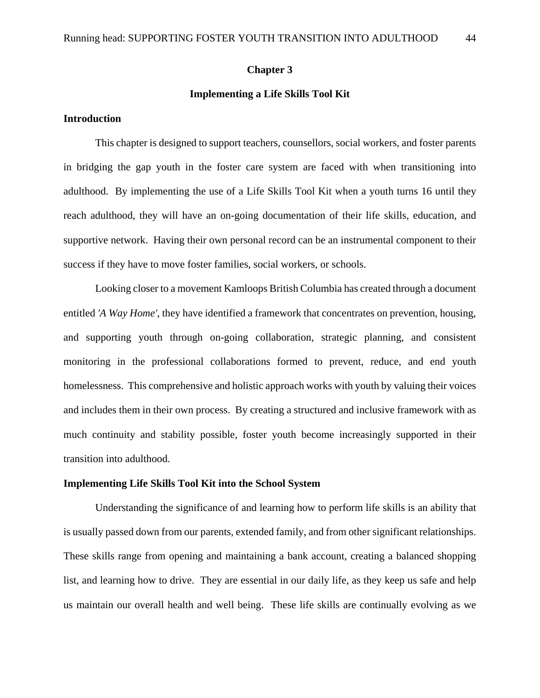## **Chapter 3**

# **Implementing a Life Skills Tool Kit**

# **Introduction**

This chapter is designed to support teachers, counsellors, social workers, and foster parents in bridging the gap youth in the foster care system are faced with when transitioning into adulthood. By implementing the use of a Life Skills Tool Kit when a youth turns 16 until they reach adulthood, they will have an on-going documentation of their life skills, education, and supportive network. Having their own personal record can be an instrumental component to their success if they have to move foster families, social workers, or schools.

 Looking closer to a movement Kamloops British Columbia has created through a document entitled *'A Way Home'*, they have identified a framework that concentrates on prevention, housing, and supporting youth through on-going collaboration, strategic planning, and consistent monitoring in the professional collaborations formed to prevent, reduce, and end youth homelessness. This comprehensive and holistic approach works with youth by valuing their voices and includes them in their own process. By creating a structured and inclusive framework with as much continuity and stability possible, foster youth become increasingly supported in their transition into adulthood.

# **Implementing Life Skills Tool Kit into the School System**

 Understanding the significance of and learning how to perform life skills is an ability that is usually passed down from our parents, extended family, and from other significant relationships. These skills range from opening and maintaining a bank account, creating a balanced shopping list, and learning how to drive. They are essential in our daily life, as they keep us safe and help us maintain our overall health and well being. These life skills are continually evolving as we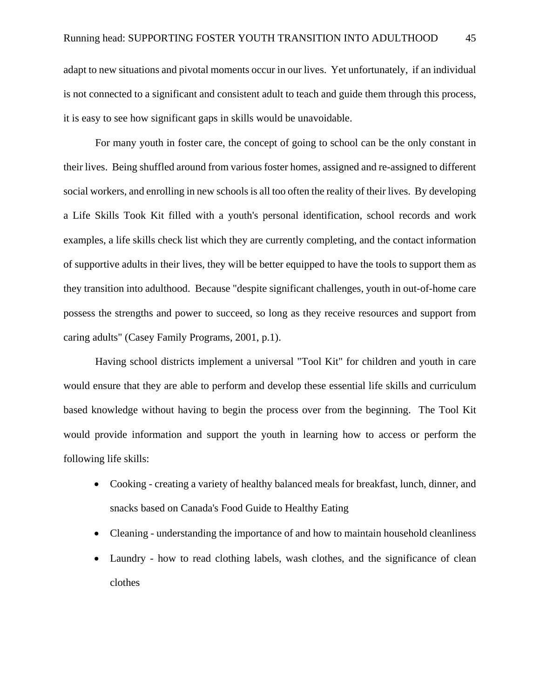adapt to new situations and pivotal moments occur in our lives. Yet unfortunately, if an individual is not connected to a significant and consistent adult to teach and guide them through this process, it is easy to see how significant gaps in skills would be unavoidable.

 For many youth in foster care, the concept of going to school can be the only constant in their lives. Being shuffled around from various foster homes, assigned and re-assigned to different social workers, and enrolling in new schools is all too often the reality of their lives. By developing a Life Skills Took Kit filled with a youth's personal identification, school records and work examples, a life skills check list which they are currently completing, and the contact information of supportive adults in their lives, they will be better equipped to have the tools to support them as they transition into adulthood. Because "despite significant challenges, youth in out-of-home care possess the strengths and power to succeed, so long as they receive resources and support from caring adults" (Casey Family Programs, 2001, p.1).

 Having school districts implement a universal "Tool Kit" for children and youth in care would ensure that they are able to perform and develop these essential life skills and curriculum based knowledge without having to begin the process over from the beginning. The Tool Kit would provide information and support the youth in learning how to access or perform the following life skills:

- Cooking creating a variety of healthy balanced meals for breakfast, lunch, dinner, and snacks based on Canada's Food Guide to Healthy Eating
- Cleaning understanding the importance of and how to maintain household cleanliness
- Laundry how to read clothing labels, wash clothes, and the significance of clean clothes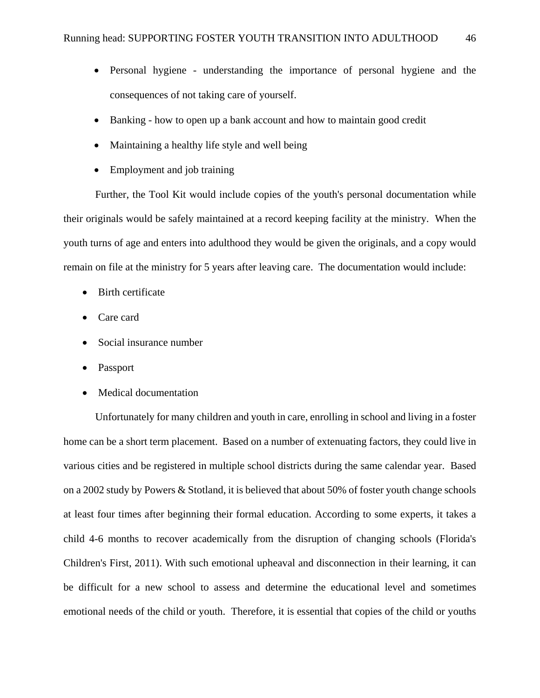- Personal hygiene understanding the importance of personal hygiene and the consequences of not taking care of yourself.
- Banking how to open up a bank account and how to maintain good credit
- Maintaining a healthy life style and well being
- Employment and job training

 Further, the Tool Kit would include copies of the youth's personal documentation while their originals would be safely maintained at a record keeping facility at the ministry. When the youth turns of age and enters into adulthood they would be given the originals, and a copy would remain on file at the ministry for 5 years after leaving care. The documentation would include:

- Birth certificate
- Care card
- Social insurance number
- Passport
- Medical documentation

 Unfortunately for many children and youth in care, enrolling in school and living in a foster home can be a short term placement. Based on a number of extenuating factors, they could live in various cities and be registered in multiple school districts during the same calendar year. Based on a 2002 study by Powers & Stotland, it is believed that about 50% of foster youth change schools at least four times after beginning their formal education. According to some experts, it takes a child 4-6 months to recover academically from the disruption of changing schools (Florida's Children's First, 2011). With such emotional upheaval and disconnection in their learning, it can be difficult for a new school to assess and determine the educational level and sometimes emotional needs of the child or youth. Therefore, it is essential that copies of the child or youths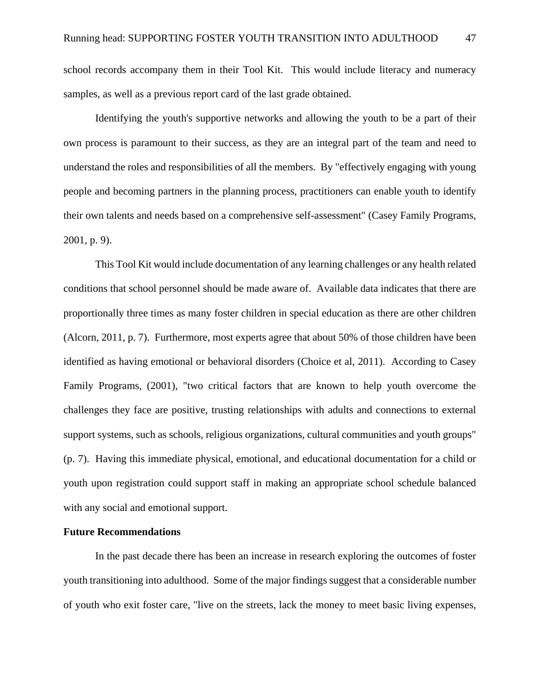school records accompany them in their Tool Kit. This would include literacy and numeracy samples, as well as a previous report card of the last grade obtained.

 Identifying the youth's supportive networks and allowing the youth to be a part of their own process is paramount to their success, as they are an integral part of the team and need to understand the roles and responsibilities of all the members. By "effectively engaging with young people and becoming partners in the planning process, practitioners can enable youth to identify their own talents and needs based on a comprehensive self-assessment" (Casey Family Programs, 2001, p. 9).

 This Tool Kit would include documentation of any learning challenges or any health related conditions that school personnel should be made aware of. Available data indicates that there are proportionally three times as many foster children in special education as there are other children (Alcorn, 2011, p. 7). Furthermore, most experts agree that about 50% of those children have been identified as having emotional or behavioral disorders (Choice et al, 2011). According to Casey Family Programs, (2001), "two critical factors that are known to help youth overcome the challenges they face are positive, trusting relationships with adults and connections to external support systems, such as schools, religious organizations, cultural communities and youth groups" (p. 7). Having this immediate physical, emotional, and educational documentation for a child or youth upon registration could support staff in making an appropriate school schedule balanced with any social and emotional support.

# **Future Recommendations**

 In the past decade there has been an increase in research exploring the outcomes of foster youth transitioning into adulthood. Some of the major findings suggest that a considerable number of youth who exit foster care, "live on the streets, lack the money to meet basic living expenses,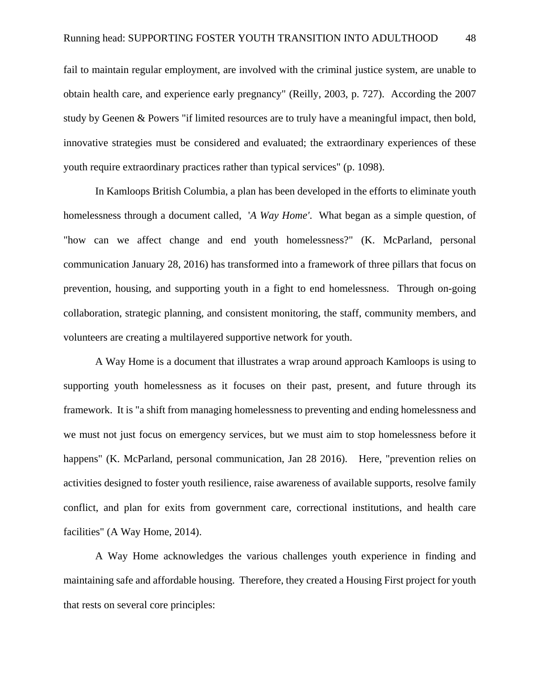fail to maintain regular employment, are involved with the criminal justice system, are unable to obtain health care, and experience early pregnancy" (Reilly, 2003, p. 727). According the 2007 study by Geenen & Powers "if limited resources are to truly have a meaningful impact, then bold, innovative strategies must be considered and evaluated; the extraordinary experiences of these youth require extraordinary practices rather than typical services" (p. 1098).

 In Kamloops British Columbia, a plan has been developed in the efforts to eliminate youth homelessness through a document called, '*A Way Home'*. What began as a simple question, of "how can we affect change and end youth homelessness?" (K. McParland, personal communication January 28, 2016) has transformed into a framework of three pillars that focus on prevention, housing, and supporting youth in a fight to end homelessness. Through on-going collaboration, strategic planning, and consistent monitoring, the staff, community members, and volunteers are creating a multilayered supportive network for youth.

 A Way Home is a document that illustrates a wrap around approach Kamloops is using to supporting youth homelessness as it focuses on their past, present, and future through its framework. It is "a shift from managing homelessness to preventing and ending homelessness and we must not just focus on emergency services, but we must aim to stop homelessness before it happens" (K. McParland, personal communication, Jan 28 2016). Here, "prevention relies on activities designed to foster youth resilience, raise awareness of available supports, resolve family conflict, and plan for exits from government care, correctional institutions, and health care facilities" (A Way Home, 2014).

 A Way Home acknowledges the various challenges youth experience in finding and maintaining safe and affordable housing. Therefore, they created a Housing First project for youth that rests on several core principles: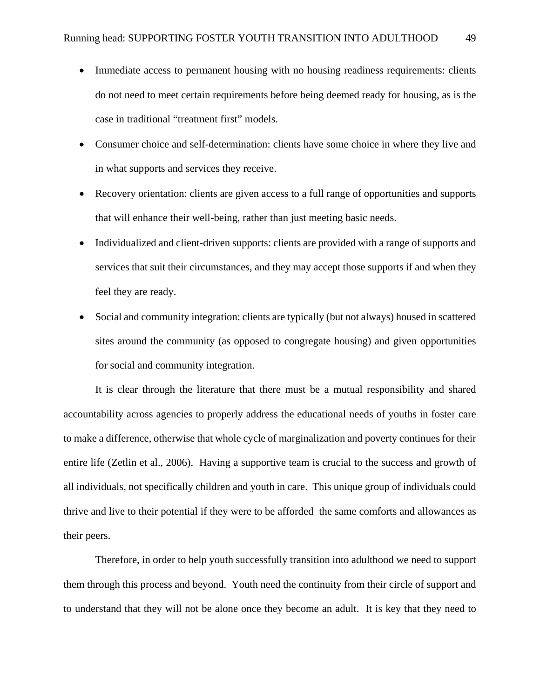- Immediate access to permanent housing with no housing readiness requirements: clients do not need to meet certain requirements before being deemed ready for housing, as is the case in traditional "treatment first" models.
- Consumer choice and self-determination: clients have some choice in where they live and in what supports and services they receive.
- Recovery orientation: clients are given access to a full range of opportunities and supports that will enhance their well-being, rather than just meeting basic needs.
- Individualized and client-driven supports: clients are provided with a range of supports and services that suit their circumstances, and they may accept those supports if and when they feel they are ready.
- Social and community integration: clients are typically (but not always) housed in scattered sites around the community (as opposed to congregate housing) and given opportunities for social and community integration.

 It is clear through the literature that there must be a mutual responsibility and shared accountability across agencies to properly address the educational needs of youths in foster care to make a difference, otherwise that whole cycle of marginalization and poverty continues for their entire life (Zetlin et al., 2006). Having a supportive team is crucial to the success and growth of all individuals, not specifically children and youth in care. This unique group of individuals could thrive and live to their potential if they were to be afforded the same comforts and allowances as their peers.

 Therefore, in order to help youth successfully transition into adulthood we need to support them through this process and beyond. Youth need the continuity from their circle of support and to understand that they will not be alone once they become an adult. It is key that they need to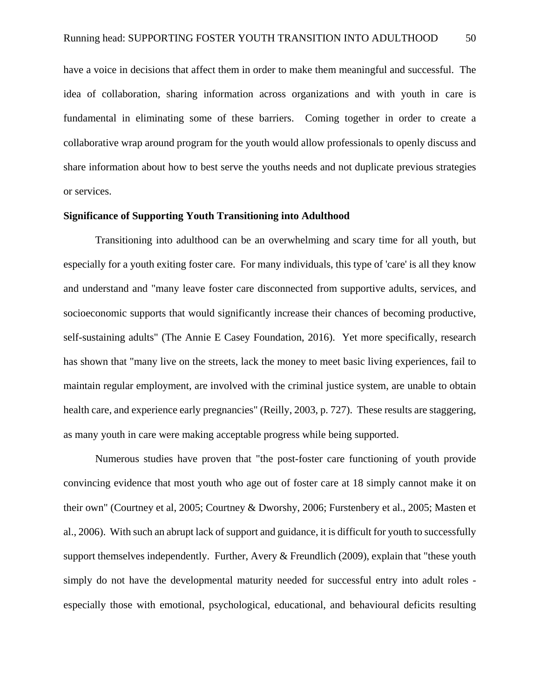have a voice in decisions that affect them in order to make them meaningful and successful. The idea of collaboration, sharing information across organizations and with youth in care is fundamental in eliminating some of these barriers. Coming together in order to create a collaborative wrap around program for the youth would allow professionals to openly discuss and share information about how to best serve the youths needs and not duplicate previous strategies or services.

# **Significance of Supporting Youth Transitioning into Adulthood**

 Transitioning into adulthood can be an overwhelming and scary time for all youth, but especially for a youth exiting foster care. For many individuals, this type of 'care' is all they know and understand and "many leave foster care disconnected from supportive adults, services, and socioeconomic supports that would significantly increase their chances of becoming productive, self-sustaining adults" (The Annie E Casey Foundation, 2016). Yet more specifically, research has shown that "many live on the streets, lack the money to meet basic living experiences, fail to maintain regular employment, are involved with the criminal justice system, are unable to obtain health care, and experience early pregnancies" (Reilly, 2003, p. 727). These results are staggering, as many youth in care were making acceptable progress while being supported.

Numerous studies have proven that "the post-foster care functioning of youth provide convincing evidence that most youth who age out of foster care at 18 simply cannot make it on their own" (Courtney et al, 2005; Courtney & Dworshy, 2006; Furstenbery et al., 2005; Masten et al., 2006). With such an abrupt lack of support and guidance, it is difficult for youth to successfully support themselves independently. Further, Avery & Freundlich (2009), explain that "these youth simply do not have the developmental maturity needed for successful entry into adult roles especially those with emotional, psychological, educational, and behavioural deficits resulting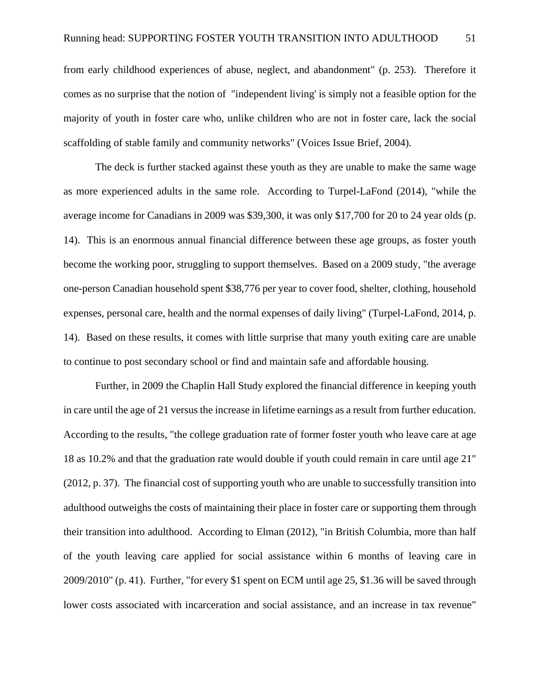from early childhood experiences of abuse, neglect, and abandonment" (p. 253). Therefore it comes as no surprise that the notion of "independent living' is simply not a feasible option for the majority of youth in foster care who, unlike children who are not in foster care, lack the social scaffolding of stable family and community networks" (Voices Issue Brief, 2004).

 The deck is further stacked against these youth as they are unable to make the same wage as more experienced adults in the same role. According to Turpel-LaFond (2014), "while the average income for Canadians in 2009 was \$39,300, it was only \$17,700 for 20 to 24 year olds (p. 14). This is an enormous annual financial difference between these age groups, as foster youth become the working poor, struggling to support themselves. Based on a 2009 study, "the average one-person Canadian household spent \$38,776 per year to cover food, shelter, clothing, household expenses, personal care, health and the normal expenses of daily living" (Turpel-LaFond, 2014, p. 14). Based on these results, it comes with little surprise that many youth exiting care are unable to continue to post secondary school or find and maintain safe and affordable housing.

 Further, in 2009 the Chaplin Hall Study explored the financial difference in keeping youth in care until the age of 21 versus the increase in lifetime earnings as a result from further education. According to the results, "the college graduation rate of former foster youth who leave care at age 18 as 10.2% and that the graduation rate would double if youth could remain in care until age 21" (2012, p. 37). The financial cost of supporting youth who are unable to successfully transition into adulthood outweighs the costs of maintaining their place in foster care or supporting them through their transition into adulthood. According to Elman (2012), "in British Columbia, more than half of the youth leaving care applied for social assistance within 6 months of leaving care in 2009/2010" (p. 41). Further, "for every \$1 spent on ECM until age 25, \$1.36 will be saved through lower costs associated with incarceration and social assistance, and an increase in tax revenue"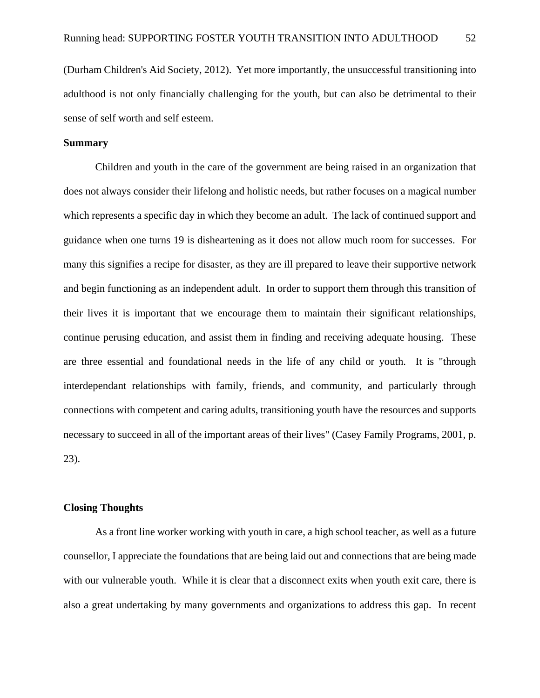(Durham Children's Aid Society, 2012). Yet more importantly, the unsuccessful transitioning into adulthood is not only financially challenging for the youth, but can also be detrimental to their sense of self worth and self esteem.

# **Summary**

 Children and youth in the care of the government are being raised in an organization that does not always consider their lifelong and holistic needs, but rather focuses on a magical number which represents a specific day in which they become an adult. The lack of continued support and guidance when one turns 19 is disheartening as it does not allow much room for successes. For many this signifies a recipe for disaster, as they are ill prepared to leave their supportive network and begin functioning as an independent adult. In order to support them through this transition of their lives it is important that we encourage them to maintain their significant relationships, continue perusing education, and assist them in finding and receiving adequate housing. These are three essential and foundational needs in the life of any child or youth. It is "through interdependant relationships with family, friends, and community, and particularly through connections with competent and caring adults, transitioning youth have the resources and supports necessary to succeed in all of the important areas of their lives" (Casey Family Programs, 2001, p. 23).

## **Closing Thoughts**

 As a front line worker working with youth in care, a high school teacher, as well as a future counsellor, I appreciate the foundations that are being laid out and connections that are being made with our vulnerable youth. While it is clear that a disconnect exits when youth exit care, there is also a great undertaking by many governments and organizations to address this gap. In recent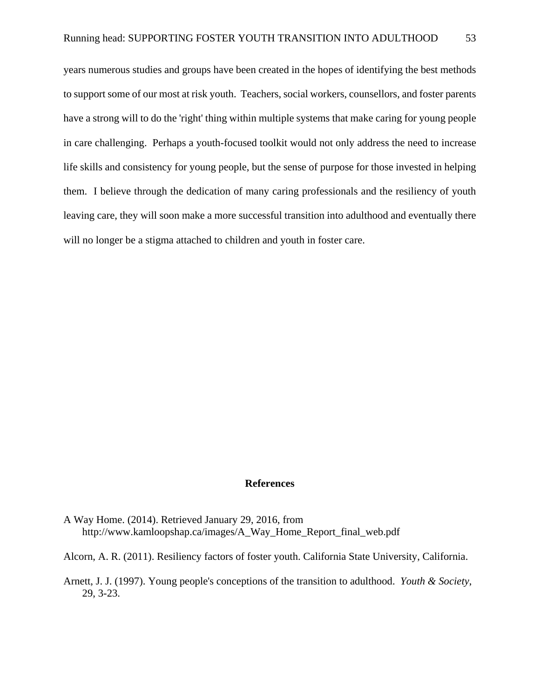years numerous studies and groups have been created in the hopes of identifying the best methods to support some of our most at risk youth. Teachers, social workers, counsellors, and foster parents have a strong will to do the 'right' thing within multiple systems that make caring for young people in care challenging. Perhaps a youth-focused toolkit would not only address the need to increase life skills and consistency for young people, but the sense of purpose for those invested in helping them. I believe through the dedication of many caring professionals and the resiliency of youth leaving care, they will soon make a more successful transition into adulthood and eventually there will no longer be a stigma attached to children and youth in foster care.

#### **References**

- A Way Home. (2014). Retrieved January 29, 2016, from http://www.kamloopshap.ca/images/A\_Way\_Home\_Report\_final\_web.pdf
- Alcorn, A. R. (2011). Resiliency factors of foster youth. California State University, California.
- Arnett, J. J. (1997). Young people's conceptions of the transition to adulthood. *Youth & Society*, 29, 3-23.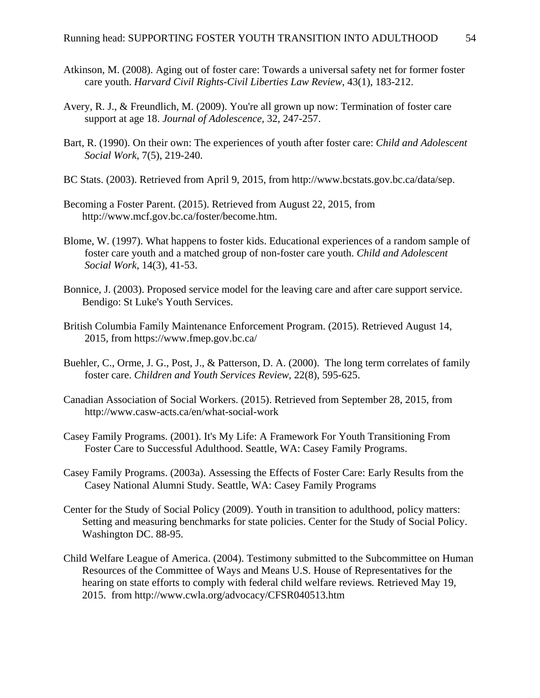- Atkinson, M. (2008). Aging out of foster care: Towards a universal safety net for former foster care youth. *Harvard Civil Rights-Civil Liberties Law Review*, 43(1), 183-212.
- Avery, R. J., & Freundlich, M. (2009). You're all grown up now: Termination of foster care support at age 18. *Journal of Adolescence*, 32, 247-257.
- Bart, R. (1990). On their own: The experiences of youth after foster care: *Child and Adolescent Social Work*, 7(5), 219-240.
- BC Stats. (2003). Retrieved from April 9, 2015, from http://www.bcstats.gov.bc.ca/data/sep.
- Becoming a Foster Parent. (2015). Retrieved from August 22, 2015, from http://www.mcf.gov.bc.ca/foster/become.htm.
- Blome, W. (1997). What happens to foster kids. Educational experiences of a random sample of foster care youth and a matched group of non-foster care youth. *Child and Adolescent Social Work*, 14(3), 41-53.
- Bonnice, J. (2003). Proposed service model for the leaving care and after care support service. Bendigo: St Luke's Youth Services.
- British Columbia Family Maintenance Enforcement Program. (2015). Retrieved August 14, 2015, from https://www.fmep.gov.bc.ca/
- Buehler, C., Orme, J. G., Post, J., & Patterson, D. A. (2000). The long term correlates of family foster care. *Children and Youth Services Review*, 22(8), 595-625.
- Canadian Association of Social Workers. (2015). Retrieved from September 28, 2015, from http://www.casw-acts.ca/en/what-social-work
- Casey Family Programs. (2001). It's My Life: A Framework For Youth Transitioning From Foster Care to Successful Adulthood. Seattle, WA: Casey Family Programs.
- Casey Family Programs. (2003a). Assessing the Effects of Foster Care: Early Results from the Casey National Alumni Study. Seattle, WA: Casey Family Programs
- Center for the Study of Social Policy (2009). Youth in transition to adulthood, policy matters: Setting and measuring benchmarks for state policies. Center for the Study of Social Policy. Washington DC. 88-95.
- Child Welfare League of America. (2004). Testimony submitted to the Subcommittee on Human Resources of the Committee of Ways and Means U.S. House of Representatives for the hearing on state efforts to comply with federal child welfare reviews*.* Retrieved May 19, 2015. from http://www.cwla.org/advocacy/CFSR040513.htm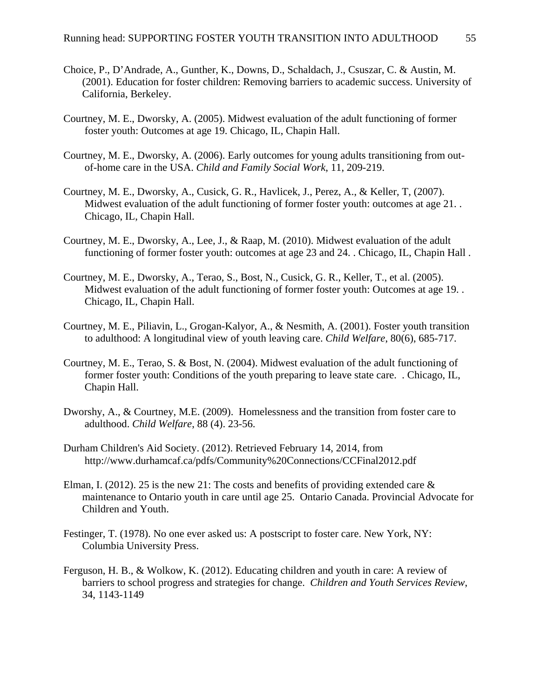- Choice, P., D'Andrade, A., Gunther, K., Downs, D., Schaldach, J., Csuszar, C. & Austin, M. (2001). Education for foster children: Removing barriers to academic success. University of California, Berkeley.
- Courtney, M. E., Dworsky, A. (2005). Midwest evaluation of the adult functioning of former foster youth: Outcomes at age 19. Chicago, IL, Chapin Hall.
- Courtney, M. E., Dworsky, A. (2006). Early outcomes for young adults transitioning from outof-home care in the USA. *Child and Family Social Work*, 11, 209-219.
- Courtney, M. E., Dworsky, A., Cusick, G. R., Havlicek, J., Perez, A., & Keller, T, (2007). Midwest evaluation of the adult functioning of former foster youth: outcomes at age 21. Chicago, IL, Chapin Hall.
- Courtney, M. E., Dworsky, A., Lee, J., & Raap, M. (2010). Midwest evaluation of the adult functioning of former foster youth: outcomes at age 23 and 24. . Chicago, IL, Chapin Hall .
- Courtney, M. E., Dworsky, A., Terao, S., Bost, N., Cusick, G. R., Keller, T., et al. (2005). Midwest evaluation of the adult functioning of former foster youth: Outcomes at age 19. . Chicago, IL, Chapin Hall.
- Courtney, M. E., Piliavin, L., Grogan-Kalyor, A., & Nesmith, A. (2001). Foster youth transition to adulthood: A longitudinal view of youth leaving care. *Child Welfare*, 80(6), 685-717.
- Courtney, M. E., Terao, S. & Bost, N. (2004). Midwest evaluation of the adult functioning of former foster youth: Conditions of the youth preparing to leave state care. . Chicago, IL, Chapin Hall.
- Dworshy, A., & Courtney, M.E. (2009). Homelessness and the transition from foster care to adulthood. *Child Welfare*, 88 (4). 23-56.
- Durham Children's Aid Society. (2012). Retrieved February 14, 2014, from http://www.durhamcaf.ca/pdfs/Community%20Connections/CCFinal2012.pdf
- Elman, I. (2012). 25 is the new 21: The costs and benefits of providing extended care  $\&$ maintenance to Ontario youth in care until age 25. Ontario Canada. Provincial Advocate for Children and Youth.
- Festinger, T. (1978). No one ever asked us: A postscript to foster care. New York, NY: Columbia University Press.
- Ferguson, H. B., & Wolkow, K. (2012). Educating children and youth in care: A review of barriers to school progress and strategies for change. *Children and Youth Services Review*, 34, 1143-1149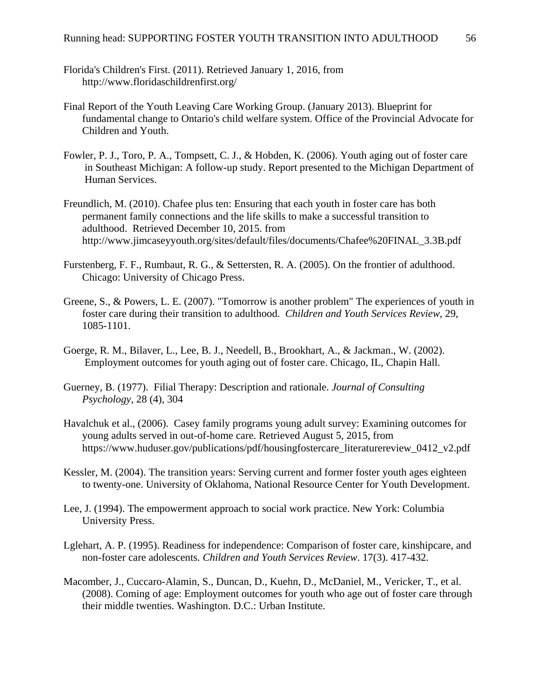- Florida's Children's First. (2011). Retrieved January 1, 2016, from http://www.floridaschildrenfirst.org/
- Final Report of the Youth Leaving Care Working Group. (January 2013). Blueprint for fundamental change to Ontario's child welfare system. Office of the Provincial Advocate for Children and Youth.
- Fowler, P. J., Toro, P. A., Tompsett, C. J., & Hobden, K. (2006). Youth aging out of foster care in Southeast Michigan: A follow-up study. Report presented to the Michigan Department of Human Services.
- Freundlich, M. (2010). Chafee plus ten: Ensuring that each youth in foster care has both permanent family connections and the life skills to make a successful transition to adulthood. Retrieved December 10, 2015. from http://www.jimcaseyyouth.org/sites/default/files/documents/Chafee%20FINAL\_3.3B.pdf
- Furstenberg, F. F., Rumbaut, R. G., & Settersten, R. A. (2005). On the frontier of adulthood. Chicago: University of Chicago Press.
- Greene, S., & Powers, L. E. (2007). "Tomorrow is another problem" The experiences of youth in foster care during their transition to adulthood. *Children and Youth Services Review*, 29, 1085-1101.
- Goerge, R. M., Bilaver, L., Lee, B. J., Needell, B., Brookhart, A., & Jackman., W. (2002). Employment outcomes for youth aging out of foster care. Chicago, IL, Chapin Hall.
- Guerney, B. (1977). Filial Therapy: Description and rationale. *Journal of Consulting Psychology*, 28 (4), 304
- Havalchuk et al., (2006). Casey family programs young adult survey: Examining outcomes for young adults served in out-of-home care. Retrieved August 5, 2015, from https://www.huduser.gov/publications/pdf/housingfostercare\_literaturereview\_0412\_v2.pdf
- Kessler, M. (2004). The transition years: Serving current and former foster youth ages eighteen to twenty-one. University of Oklahoma, National Resource Center for Youth Development.
- Lee, J. (1994). The empowerment approach to social work practice. New York: Columbia University Press.
- Lglehart, A. P. (1995). Readiness for independence: Comparison of foster care, kinshipcare, and non-foster care adolescents. *Children and Youth Services Review*. 17(3). 417-432.
- Macomber, J., Cuccaro-Alamin, S., Duncan, D., Kuehn, D., McDaniel, M., Vericker, T., et al. (2008). Coming of age: Employment outcomes for youth who age out of foster care through their middle twenties. Washington. D.C.: Urban Institute.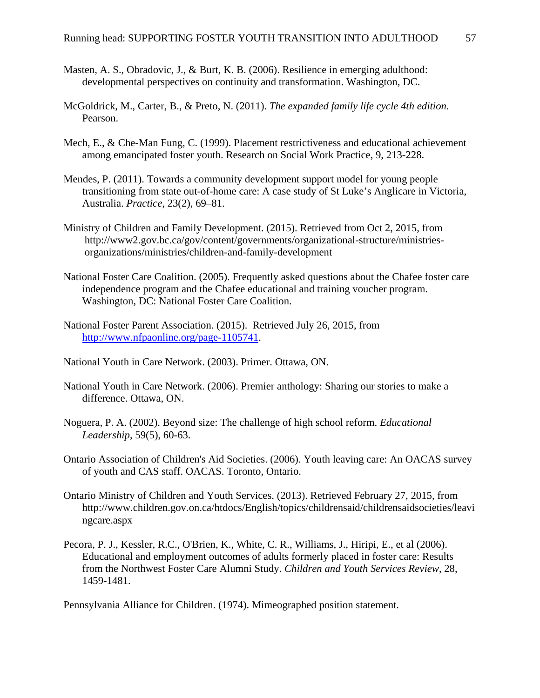- Masten, A. S., Obradovic, J., & Burt, K. B. (2006). Resilience in emerging adulthood: developmental perspectives on continuity and transformation. Washington, DC.
- McGoldrick, M., Carter, B., & Preto, N. (2011). *The expanded family life cycle 4th edition*. Pearson.
- Mech, E., & Che-Man Fung, C. (1999). Placement restrictiveness and educational achievement among emancipated foster youth. Research on Social Work Practice, 9, 213-228.
- Mendes, P. (2011). Towards a community development support model for young people transitioning from state out-of-home care: A case study of St Luke's Anglicare in Victoria, Australia. *Practice*, 23(2), 69–81.
- Ministry of Children and Family Development. (2015). Retrieved from Oct 2, 2015, from http://www2.gov.bc.ca/gov/content/governments/organizational-structure/ministriesorganizations/ministries/children-and-family-development
- National Foster Care Coalition. (2005). Frequently asked questions about the Chafee foster care independence program and the Chafee educational and training voucher program. Washington, DC: National Foster Care Coalition.
- National Foster Parent Association. (2015). Retrieved July 26, 2015, from http://www.nfpaonline.org/page-1105741.
- National Youth in Care Network. (2003). Primer. Ottawa, ON.
- National Youth in Care Network. (2006). Premier anthology: Sharing our stories to make a difference. Ottawa, ON.
- Noguera, P. A. (2002). Beyond size: The challenge of high school reform. *Educational Leadership*, 59(5), 60-63.
- Ontario Association of Children's Aid Societies. (2006). Youth leaving care: An OACAS survey of youth and CAS staff. OACAS. Toronto, Ontario.
- Ontario Ministry of Children and Youth Services. (2013). Retrieved February 27, 2015, from http://www.children.gov.on.ca/htdocs/English/topics/childrensaid/childrensaidsocieties/leavi ngcare.aspx
- Pecora, P. J., Kessler, R.C., O'Brien, K., White, C. R., Williams, J., Hiripi, E., et al (2006). Educational and employment outcomes of adults formerly placed in foster care: Results from the Northwest Foster Care Alumni Study. *Children and Youth Services Review*, 28, 1459-1481.

Pennsylvania Alliance for Children. (1974). Mimeographed position statement.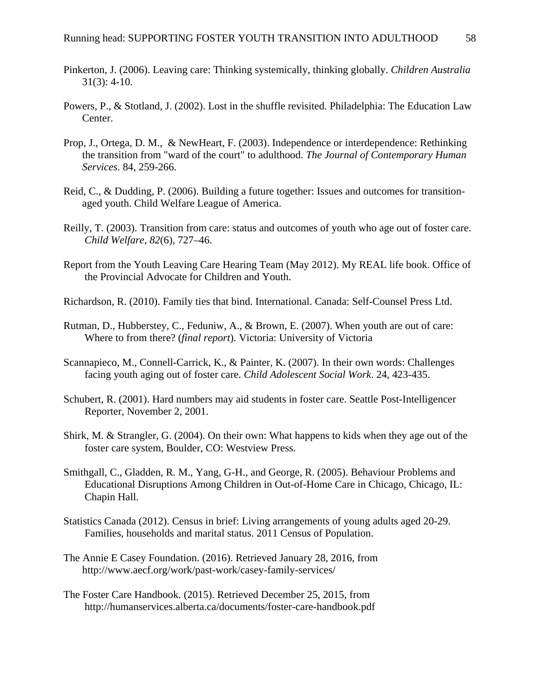- Pinkerton, J. (2006). Leaving care: Thinking systemically, thinking globally. *Children Australia* 31(3): 4-10.
- Powers, P., & Stotland, J. (2002). Lost in the shuffle revisited. Philadelphia: The Education Law Center.
- Prop, J., Ortega, D. M., & NewHeart, F. (2003). Independence or interdependence: Rethinking the transition from "ward of the court" to adulthood. *The Journal of Contemporary Human Services.* 84, 259-266.
- Reid, C., & Dudding, P. (2006). Building a future together: Issues and outcomes for transitionaged youth. Child Welfare League of America.
- Reilly, T. (2003). Transition from care: status and outcomes of youth who age out of foster care. *Child Welfare*, *82*(6), 727–46.
- Report from the Youth Leaving Care Hearing Team (May 2012). My REAL life book. Office of the Provincial Advocate for Children and Youth.
- Richardson, R. (2010). Family ties that bind. International. Canada: Self-Counsel Press Ltd.
- Rutman, D., Hubberstey, C., Feduniw, A., & Brown, E. (2007). When youth are out of care: Where to from there? (*final report*). Victoria: University of Victoria
- Scannapieco, M., Connell-Carrick, K., & Painter, K. (2007). In their own words: Challenges facing youth aging out of foster care. *Child Adolescent Social Work*. 24, 423-435.
- Schubert, R. (2001). Hard numbers may aid students in foster care. Seattle Post-Intelligencer Reporter, November 2, 2001.
- Shirk, M. & Strangler, G. (2004). On their own: What happens to kids when they age out of the foster care system, Boulder, CO: Westview Press.
- Smithgall, C., Gladden, R. M., Yang, G-H., and George, R. (2005). Behaviour Problems and Educational Disruptions Among Children in Out-of-Home Care in Chicago, Chicago, IL: Chapin Hall.
- Statistics Canada (2012). Census in brief: Living arrangements of young adults aged 20-29. Families, households and marital status. 2011 Census of Population.
- The Annie E Casey Foundation. (2016). Retrieved January 28, 2016, from http://www.aecf.org/work/past-work/casey-family-services/
- The Foster Care Handbook. (2015). Retrieved December 25, 2015, from http://humanservices.alberta.ca/documents/foster-care-handbook.pdf